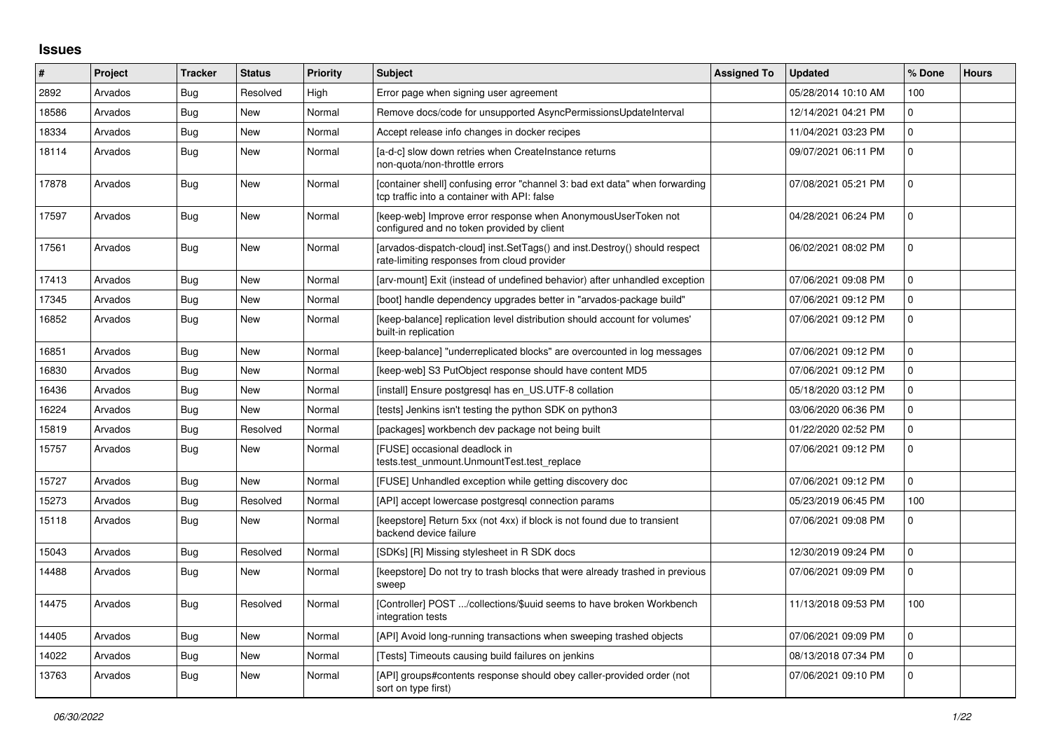## **Issues**

| #     | Project | <b>Tracker</b> | <b>Status</b> | <b>Priority</b> | <b>Subject</b>                                                                                                              | <b>Assigned To</b> | <b>Updated</b>      | % Done         | <b>Hours</b> |
|-------|---------|----------------|---------------|-----------------|-----------------------------------------------------------------------------------------------------------------------------|--------------------|---------------------|----------------|--------------|
| 2892  | Arvados | <b>Bug</b>     | Resolved      | High            | Error page when signing user agreement                                                                                      |                    | 05/28/2014 10:10 AM | 100            |              |
| 18586 | Arvados | <b>Bug</b>     | <b>New</b>    | Normal          | Remove docs/code for unsupported AsyncPermissionsUpdateInterval                                                             |                    | 12/14/2021 04:21 PM | $\mathbf 0$    |              |
| 18334 | Arvados | <b>Bug</b>     | New           | Normal          | Accept release info changes in docker recipes                                                                               |                    | 11/04/2021 03:23 PM | $\mathbf 0$    |              |
| 18114 | Arvados | Bug            | <b>New</b>    | Normal          | [a-d-c] slow down retries when CreateInstance returns<br>non-quota/non-throttle errors                                      |                    | 09/07/2021 06:11 PM | $\Omega$       |              |
| 17878 | Arvados | Bug            | <b>New</b>    | Normal          | [container shell] confusing error "channel 3: bad ext data" when forwarding<br>tcp traffic into a container with API: false |                    | 07/08/2021 05:21 PM | $\overline{0}$ |              |
| 17597 | Arvados | <b>Bug</b>     | New           | Normal          | [keep-web] Improve error response when AnonymousUserToken not<br>configured and no token provided by client                 |                    | 04/28/2021 06:24 PM | $\Omega$       |              |
| 17561 | Arvados | Bug            | New           | Normal          | [arvados-dispatch-cloud] inst.SetTags() and inst.Destroy() should respect<br>rate-limiting responses from cloud provider    |                    | 06/02/2021 08:02 PM | $\mathbf 0$    |              |
| 17413 | Arvados | Bug            | New           | Normal          | [arv-mount] Exit (instead of undefined behavior) after unhandled exception                                                  |                    | 07/06/2021 09:08 PM | $\Omega$       |              |
| 17345 | Arvados | Bug            | New           | Normal          | [boot] handle dependency upgrades better in "arvados-package build"                                                         |                    | 07/06/2021 09:12 PM | $\mathbf 0$    |              |
| 16852 | Arvados | <b>Bug</b>     | New           | Normal          | [keep-balance] replication level distribution should account for volumes'<br>built-in replication                           |                    | 07/06/2021 09:12 PM | $\mathbf 0$    |              |
| 16851 | Arvados | Bug            | New           | Normal          | [keep-balance] "underreplicated blocks" are overcounted in log messages                                                     |                    | 07/06/2021 09:12 PM | $\mathbf 0$    |              |
| 16830 | Arvados | <b>Bug</b>     | New           | Normal          | [keep-web] S3 PutObject response should have content MD5                                                                    |                    | 07/06/2021 09:12 PM | $\mathbf 0$    |              |
| 16436 | Arvados | <b>Bug</b>     | <b>New</b>    | Normal          | [install] Ensure postgresql has en_US.UTF-8 collation                                                                       |                    | 05/18/2020 03:12 PM | $\overline{0}$ |              |
| 16224 | Arvados | Bug            | New           | Normal          | [tests] Jenkins isn't testing the python SDK on python3                                                                     |                    | 03/06/2020 06:36 PM | $\mathbf 0$    |              |
| 15819 | Arvados | <b>Bug</b>     | Resolved      | Normal          | [packages] workbench dev package not being built                                                                            |                    | 01/22/2020 02:52 PM | $\pmb{0}$      |              |
| 15757 | Arvados | Bug            | <b>New</b>    | Normal          | [FUSE] occasional deadlock in<br>tests.test unmount.UnmountTest.test replace                                                |                    | 07/06/2021 09:12 PM | $\overline{0}$ |              |
| 15727 | Arvados | <b>Bug</b>     | <b>New</b>    | Normal          | [FUSE] Unhandled exception while getting discovery doc                                                                      |                    | 07/06/2021 09:12 PM | $\mathbf 0$    |              |
| 15273 | Arvados | <b>Bug</b>     | Resolved      | Normal          | [API] accept lowercase postgresgl connection params                                                                         |                    | 05/23/2019 06:45 PM | 100            |              |
| 15118 | Arvados | <b>Bug</b>     | New           | Normal          | [keepstore] Return 5xx (not 4xx) if block is not found due to transient<br>backend device failure                           |                    | 07/06/2021 09:08 PM | $\mathbf 0$    |              |
| 15043 | Arvados | <b>Bug</b>     | Resolved      | Normal          | [SDKs] [R] Missing stylesheet in R SDK docs                                                                                 |                    | 12/30/2019 09:24 PM | $\Omega$       |              |
| 14488 | Arvados | <b>Bug</b>     | New           | Normal          | [keepstore] Do not try to trash blocks that were already trashed in previous<br>sweep                                       |                    | 07/06/2021 09:09 PM | $\mathbf 0$    |              |
| 14475 | Arvados | <b>Bug</b>     | Resolved      | Normal          | [Controller] POST /collections/\$uuid seems to have broken Workbench<br>integration tests                                   |                    | 11/13/2018 09:53 PM | 100            |              |
| 14405 | Arvados | Bug            | <b>New</b>    | Normal          | [API] Avoid long-running transactions when sweeping trashed objects                                                         |                    | 07/06/2021 09:09 PM | $\mathbf 0$    |              |
| 14022 | Arvados | <b>Bug</b>     | New           | Normal          | [Tests] Timeouts causing build failures on jenkins                                                                          |                    | 08/13/2018 07:34 PM | $\mathbf 0$    |              |
| 13763 | Arvados | Bug            | New           | Normal          | [API] groups#contents response should obey caller-provided order (not<br>sort on type first)                                |                    | 07/06/2021 09:10 PM | $\overline{0}$ |              |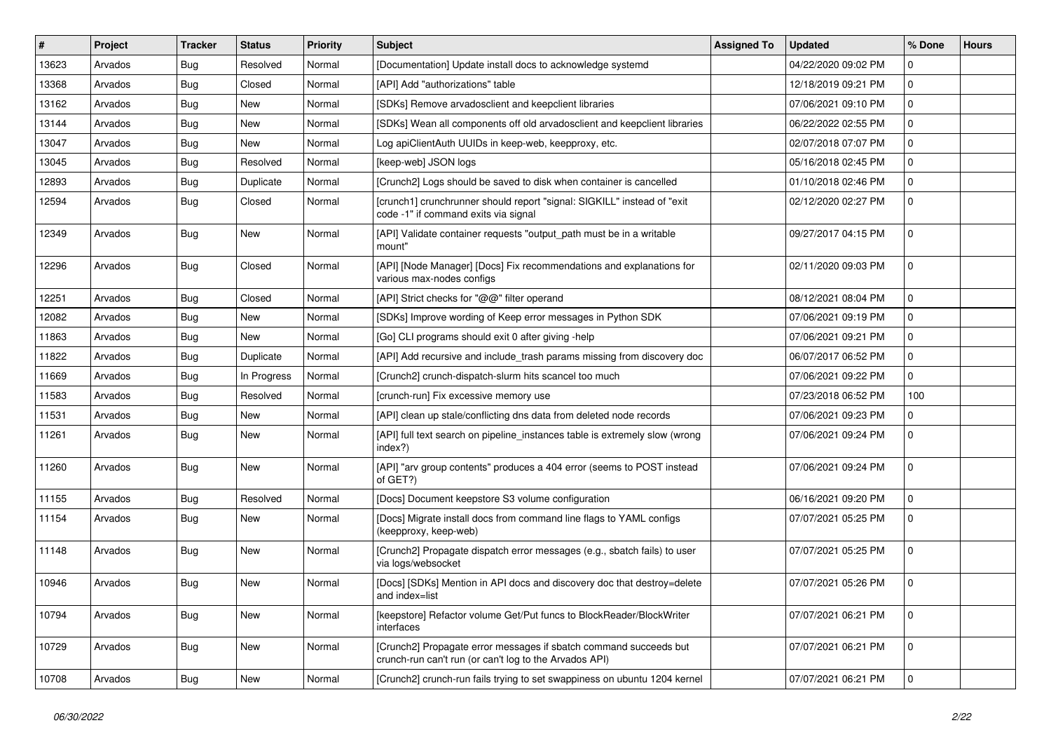| #     | Project | <b>Tracker</b> | <b>Status</b> | <b>Priority</b> | <b>Subject</b>                                                                                                              | <b>Assigned To</b> | <b>Updated</b>      | % Done         | <b>Hours</b> |
|-------|---------|----------------|---------------|-----------------|-----------------------------------------------------------------------------------------------------------------------------|--------------------|---------------------|----------------|--------------|
| 13623 | Arvados | Bug            | Resolved      | Normal          | [Documentation] Update install docs to acknowledge systemd                                                                  |                    | 04/22/2020 09:02 PM | n              |              |
| 13368 | Arvados | Bug            | Closed        | Normal          | [API] Add "authorizations" table                                                                                            |                    | 12/18/2019 09:21 PM | $\Omega$       |              |
| 13162 | Arvados | Bug            | New           | Normal          | [SDKs] Remove arvadosclient and keepclient libraries                                                                        |                    | 07/06/2021 09:10 PM | $\Omega$       |              |
| 13144 | Arvados | <b>Bug</b>     | New           | Normal          | [SDKs] Wean all components off old arvadosclient and keepclient libraries                                                   |                    | 06/22/2022 02:55 PM | $\Omega$       |              |
| 13047 | Arvados | Bug            | New           | Normal          | Log apiClientAuth UUIDs in keep-web, keepproxy, etc.                                                                        |                    | 02/07/2018 07:07 PM | $\Omega$       |              |
| 13045 | Arvados | Bug            | Resolved      | Normal          | [keep-web] JSON logs                                                                                                        |                    | 05/16/2018 02:45 PM | $\Omega$       |              |
| 12893 | Arvados | Bug            | Duplicate     | Normal          | [Crunch2] Logs should be saved to disk when container is cancelled                                                          |                    | 01/10/2018 02:46 PM | $\Omega$       |              |
| 12594 | Arvados | Bug            | Closed        | Normal          | [crunch1] crunchrunner should report "signal: SIGKILL" instead of "exit<br>code -1" if command exits via signal             |                    | 02/12/2020 02:27 PM | $\Omega$       |              |
| 12349 | Arvados | <b>Bug</b>     | New           | Normal          | [API] Validate container requests "output_path must be in a writable<br>mount"                                              |                    | 09/27/2017 04:15 PM | $\Omega$       |              |
| 12296 | Arvados | <b>Bug</b>     | Closed        | Normal          | [API] [Node Manager] [Docs] Fix recommendations and explanations for<br>various max-nodes configs                           |                    | 02/11/2020 09:03 PM | $\Omega$       |              |
| 12251 | Arvados | Bug            | Closed        | Normal          | [API] Strict checks for "@@" filter operand                                                                                 |                    | 08/12/2021 08:04 PM | $\Omega$       |              |
| 12082 | Arvados | Bug            | New           | Normal          | [SDKs] Improve wording of Keep error messages in Python SDK                                                                 |                    | 07/06/2021 09:19 PM | $\mathbf 0$    |              |
| 11863 | Arvados | <b>Bug</b>     | New           | Normal          | [Go] CLI programs should exit 0 after giving -help                                                                          |                    | 07/06/2021 09:21 PM | $\mathbf 0$    |              |
| 11822 | Arvados | Bug            | Duplicate     | Normal          | [API] Add recursive and include_trash params missing from discovery doc                                                     |                    | 06/07/2017 06:52 PM | $\Omega$       |              |
| 11669 | Arvados | Bug            | In Progress   | Normal          | [Crunch2] crunch-dispatch-slurm hits scancel too much                                                                       |                    | 07/06/2021 09:22 PM | $\mathbf{0}$   |              |
| 11583 | Arvados | <b>Bug</b>     | Resolved      | Normal          | [crunch-run] Fix excessive memory use                                                                                       |                    | 07/23/2018 06:52 PM | 100            |              |
| 11531 | Arvados | <b>Bug</b>     | New           | Normal          | [API] clean up stale/conflicting dns data from deleted node records                                                         |                    | 07/06/2021 09:23 PM | $\Omega$       |              |
| 11261 | Arvados | <b>Bug</b>     | New           | Normal          | [API] full text search on pipeline_instances table is extremely slow (wrong<br>index?)                                      |                    | 07/06/2021 09:24 PM | $\Omega$       |              |
| 11260 | Arvados | <b>Bug</b>     | New           | Normal          | [API] "arv group contents" produces a 404 error (seems to POST instead<br>of GET?)                                          |                    | 07/06/2021 09:24 PM | $\Omega$       |              |
| 11155 | Arvados | <b>Bug</b>     | Resolved      | Normal          | [Docs] Document keepstore S3 volume configuration                                                                           |                    | 06/16/2021 09:20 PM | $\Omega$       |              |
| 11154 | Arvados | <b>Bug</b>     | New           | Normal          | [Docs] Migrate install docs from command line flags to YAML configs<br>(keepproxy, keep-web)                                |                    | 07/07/2021 05:25 PM | $\Omega$       |              |
| 11148 | Arvados | <b>Bug</b>     | New           | Normal          | [Crunch2] Propagate dispatch error messages (e.g., sbatch fails) to user<br>via logs/websocket                              |                    | 07/07/2021 05:25 PM | $\Omega$       |              |
| 10946 | Arvados | Bug            | New           | Normal          | [Docs] [SDKs] Mention in API docs and discovery doc that destroy=delete<br>and index=list                                   |                    | 07/07/2021 05:26 PM | $\Omega$       |              |
| 10794 | Arvados | <b>Bug</b>     | New           | Normal          | [keepstore] Refactor volume Get/Put funcs to BlockReader/BlockWriter<br>interfaces                                          |                    | 07/07/2021 06:21 PM | $\Omega$       |              |
| 10729 | Arvados | Bug            | New           | Normal          | [Crunch2] Propagate error messages if sbatch command succeeds but<br>crunch-run can't run (or can't log to the Arvados API) |                    | 07/07/2021 06:21 PM | $\overline{0}$ |              |
| 10708 | Arvados | Bug            | New           | Normal          | [Crunch2] crunch-run fails trying to set swappiness on ubuntu 1204 kernel                                                   |                    | 07/07/2021 06:21 PM | $\mathbf{0}$   |              |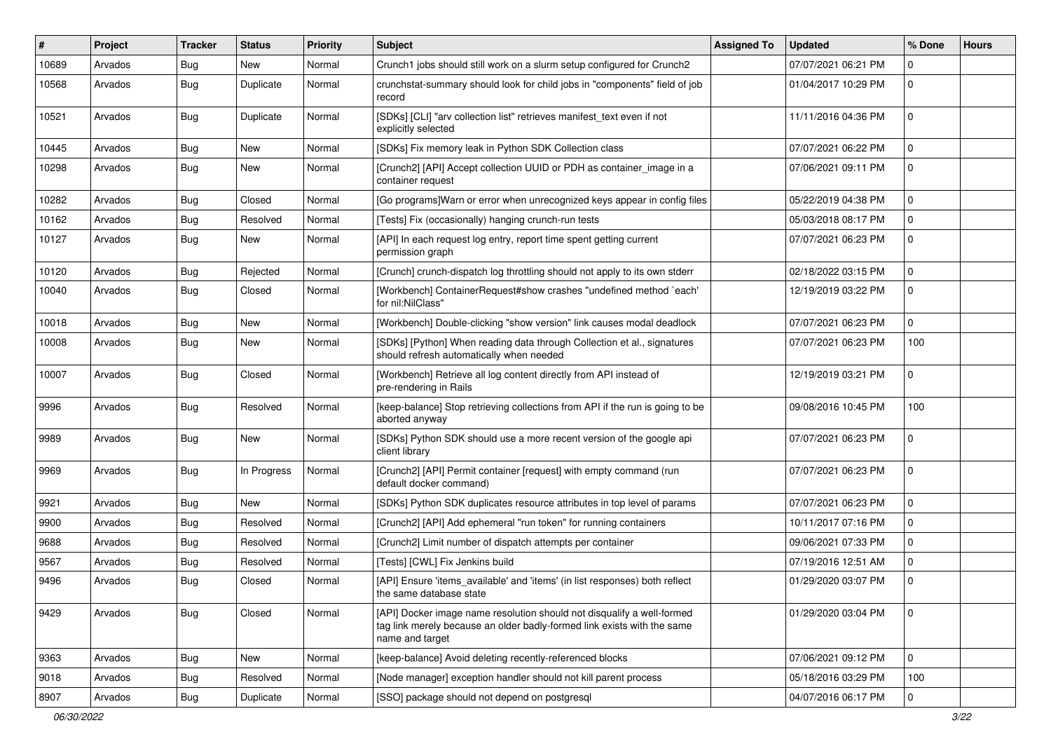| ∦     | Project | <b>Tracker</b> | <b>Status</b> | <b>Priority</b> | Subject                                                                                                                                                              | <b>Assigned To</b> | <b>Updated</b>      | % Done   | <b>Hours</b> |
|-------|---------|----------------|---------------|-----------------|----------------------------------------------------------------------------------------------------------------------------------------------------------------------|--------------------|---------------------|----------|--------------|
| 10689 | Arvados | <b>Bug</b>     | New           | Normal          | Crunch1 jobs should still work on a slurm setup configured for Crunch2                                                                                               |                    | 07/07/2021 06:21 PM |          |              |
| 10568 | Arvados | <b>Bug</b>     | Duplicate     | Normal          | crunchstat-summary should look for child jobs in "components" field of job<br>record                                                                                 |                    | 01/04/2017 10:29 PM | n        |              |
| 10521 | Arvados | <b>Bug</b>     | Duplicate     | Normal          | [SDKs] [CLI] "arv collection list" retrieves manifest_text even if not<br>explicitly selected                                                                        |                    | 11/11/2016 04:36 PM | $\Omega$ |              |
| 10445 | Arvados | <b>Bug</b>     | New           | Normal          | [SDKs] Fix memory leak in Python SDK Collection class                                                                                                                |                    | 07/07/2021 06:22 PM |          |              |
| 10298 | Arvados | <b>Bug</b>     | New           | Normal          | [Crunch2] [API] Accept collection UUID or PDH as container image in a<br>container request                                                                           |                    | 07/06/2021 09:11 PM | $\Omega$ |              |
| 10282 | Arvados | Bug            | Closed        | Normal          | [Go programs] Warn or error when unrecognized keys appear in config files                                                                                            |                    | 05/22/2019 04:38 PM |          |              |
| 10162 | Arvados | <b>Bug</b>     | Resolved      | Normal          | [Tests] Fix (occasionally) hanging crunch-run tests                                                                                                                  |                    | 05/03/2018 08:17 PM |          |              |
| 10127 | Arvados | <b>Bug</b>     | New           | Normal          | [API] In each request log entry, report time spent getting current<br>permission graph                                                                               |                    | 07/07/2021 06:23 PM | $\Omega$ |              |
| 10120 | Arvados | Bug            | Rejected      | Normal          | [Crunch] crunch-dispatch log throttling should not apply to its own stderr                                                                                           |                    | 02/18/2022 03:15 PM | $\Omega$ |              |
| 10040 | Arvados | <b>Bug</b>     | Closed        | Normal          | [Workbench] ContainerRequest#show crashes "undefined method `each'<br>for nil:NilClass"                                                                              |                    | 12/19/2019 03:22 PM |          |              |
| 10018 | Arvados | <b>Bug</b>     | New           | Normal          | [Workbench] Double-clicking "show version" link causes modal deadlock                                                                                                |                    | 07/07/2021 06:23 PM | 0        |              |
| 10008 | Arvados | <b>Bug</b>     | New           | Normal          | [SDKs] [Python] When reading data through Collection et al., signatures<br>should refresh automatically when needed                                                  |                    | 07/07/2021 06:23 PM | 100      |              |
| 10007 | Arvados | <b>Bug</b>     | Closed        | Normal          | [Workbench] Retrieve all log content directly from API instead of<br>pre-rendering in Rails                                                                          |                    | 12/19/2019 03:21 PM | $\Omega$ |              |
| 9996  | Arvados | Bug            | Resolved      | Normal          | [keep-balance] Stop retrieving collections from API if the run is going to be<br>aborted anyway                                                                      |                    | 09/08/2016 10:45 PM | 100      |              |
| 9989  | Arvados | <b>Bug</b>     | New           | Normal          | [SDKs] Python SDK should use a more recent version of the google api<br>client library                                                                               |                    | 07/07/2021 06:23 PM | $\Omega$ |              |
| 9969  | Arvados | Bug            | In Progress   | Normal          | [Crunch2] [API] Permit container [request] with empty command (run<br>default docker command)                                                                        |                    | 07/07/2021 06:23 PM | $\Omega$ |              |
| 9921  | Arvados | <b>Bug</b>     | New           | Normal          | [SDKs] Python SDK duplicates resource attributes in top level of params                                                                                              |                    | 07/07/2021 06:23 PM | $\Omega$ |              |
| 9900  | Arvados | <b>Bug</b>     | Resolved      | Normal          | [Crunch2] [API] Add ephemeral "run token" for running containers                                                                                                     |                    | 10/11/2017 07:16 PM | ŋ        |              |
| 9688  | Arvados | <b>Bug</b>     | Resolved      | Normal          | [Crunch2] Limit number of dispatch attempts per container                                                                                                            |                    | 09/06/2021 07:33 PM | $\Omega$ |              |
| 9567  | Arvados | <b>Bug</b>     | Resolved      | Normal          | [Tests] [CWL] Fix Jenkins build                                                                                                                                      |                    | 07/19/2016 12:51 AM | $\Omega$ |              |
| 9496  | Arvados | <b>Bug</b>     | Closed        | Normal          | [API] Ensure 'items_available' and 'items' (in list responses) both reflect<br>the same database state                                                               |                    | 01/29/2020 03:07 PM |          |              |
| 9429  | Arvados | Bug            | Closed        | Normal          | [API] Docker image name resolution should not disqualify a well-formed<br>tag link merely because an older badly-formed link exists with the same<br>name and target |                    | 01/29/2020 03:04 PM | $\Omega$ |              |
| 9363  | Arvados | Bug            | New           | Normal          | [keep-balance] Avoid deleting recently-referenced blocks                                                                                                             |                    | 07/06/2021 09:12 PM | 0        |              |
| 9018  | Arvados | <b>Bug</b>     | Resolved      | Normal          | [Node manager] exception handler should not kill parent process                                                                                                      |                    | 05/18/2016 03:29 PM | 100      |              |
| 8907  | Arvados | Bug            | Duplicate     | Normal          | [SSO] package should not depend on postgresql                                                                                                                        |                    | 04/07/2016 06:17 PM | $\Omega$ |              |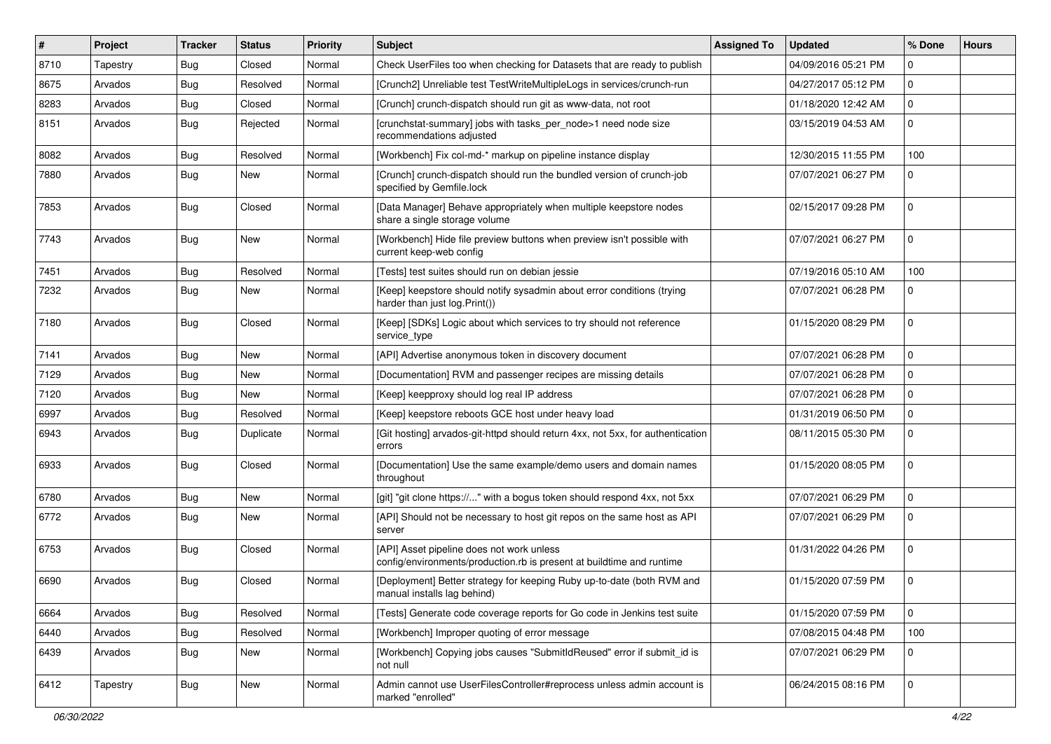| #    | Project  | <b>Tracker</b> | <b>Status</b> | <b>Priority</b> | <b>Subject</b>                                                                                                     | <b>Assigned To</b> | <b>Updated</b>      | % Done         | <b>Hours</b> |
|------|----------|----------------|---------------|-----------------|--------------------------------------------------------------------------------------------------------------------|--------------------|---------------------|----------------|--------------|
| 8710 | Tapestry | <b>Bug</b>     | Closed        | Normal          | Check UserFiles too when checking for Datasets that are ready to publish                                           |                    | 04/09/2016 05:21 PM | $\Omega$       |              |
| 8675 | Arvados  | <b>Bug</b>     | Resolved      | Normal          | [Crunch2] Unreliable test TestWriteMultipleLogs in services/crunch-run                                             |                    | 04/27/2017 05:12 PM | $\Omega$       |              |
| 8283 | Arvados  | <b>Bug</b>     | Closed        | Normal          | [Crunch] crunch-dispatch should run git as www-data, not root                                                      |                    | 01/18/2020 12:42 AM | $\Omega$       |              |
| 8151 | Arvados  | <b>Bug</b>     | Rejected      | Normal          | [crunchstat-summary] jobs with tasks_per_node>1 need node size<br>recommendations adjusted                         |                    | 03/15/2019 04:53 AM | $\Omega$       |              |
| 8082 | Arvados  | <b>Bug</b>     | Resolved      | Normal          | [Workbench] Fix col-md-* markup on pipeline instance display                                                       |                    | 12/30/2015 11:55 PM | 100            |              |
| 7880 | Arvados  | Bug            | New           | Normal          | [Crunch] crunch-dispatch should run the bundled version of crunch-job<br>specified by Gemfile.lock                 |                    | 07/07/2021 06:27 PM | $\Omega$       |              |
| 7853 | Arvados  | Bug            | Closed        | Normal          | [Data Manager] Behave appropriately when multiple keepstore nodes<br>share a single storage volume                 |                    | 02/15/2017 09:28 PM | $\Omega$       |              |
| 7743 | Arvados  | Bug            | <b>New</b>    | Normal          | [Workbench] Hide file preview buttons when preview isn't possible with<br>current keep-web config                  |                    | 07/07/2021 06:27 PM | $\mathbf 0$    |              |
| 7451 | Arvados  | Bug            | Resolved      | Normal          | [Tests] test suites should run on debian jessie                                                                    |                    | 07/19/2016 05:10 AM | 100            |              |
| 7232 | Arvados  | Bug            | New           | Normal          | [Keep] keepstore should notify sysadmin about error conditions (trying<br>harder than just log.Print())            |                    | 07/07/2021 06:28 PM | $\Omega$       |              |
| 7180 | Arvados  | Bug            | Closed        | Normal          | [Keep] [SDKs] Logic about which services to try should not reference<br>service_type                               |                    | 01/15/2020 08:29 PM | $\Omega$       |              |
| 7141 | Arvados  | <b>Bug</b>     | <b>New</b>    | Normal          | [API] Advertise anonymous token in discovery document                                                              |                    | 07/07/2021 06:28 PM | $\Omega$       |              |
| 7129 | Arvados  | <b>Bug</b>     | New           | Normal          | [Documentation] RVM and passenger recipes are missing details                                                      |                    | 07/07/2021 06:28 PM | $\mathbf{0}$   |              |
| 7120 | Arvados  | <b>Bug</b>     | New           | Normal          | [Keep] keepproxy should log real IP address                                                                        |                    | 07/07/2021 06:28 PM | $\Omega$       |              |
| 6997 | Arvados  | Bug            | Resolved      | Normal          | [Keep] keepstore reboots GCE host under heavy load                                                                 |                    | 01/31/2019 06:50 PM | $\overline{0}$ |              |
| 6943 | Arvados  | Bug            | Duplicate     | Normal          | [Git hosting] arvados-git-httpd should return 4xx, not 5xx, for authentication<br>errors                           |                    | 08/11/2015 05:30 PM | $\Omega$       |              |
| 6933 | Arvados  | Bug            | Closed        | Normal          | [Documentation] Use the same example/demo users and domain names<br>throughout                                     |                    | 01/15/2020 08:05 PM | $\Omega$       |              |
| 6780 | Arvados  | <b>Bug</b>     | <b>New</b>    | Normal          | [git] "git clone https://" with a bogus token should respond 4xx, not 5xx                                          |                    | 07/07/2021 06:29 PM | $\Omega$       |              |
| 6772 | Arvados  | Bug            | New           | Normal          | [API] Should not be necessary to host git repos on the same host as API<br>server                                  |                    | 07/07/2021 06:29 PM | $\Omega$       |              |
| 6753 | Arvados  | <b>Bug</b>     | Closed        | Normal          | [API] Asset pipeline does not work unless<br>config/environments/production.rb is present at buildtime and runtime |                    | 01/31/2022 04:26 PM | $\Omega$       |              |
| 6690 | Arvados  | <b>Bug</b>     | Closed        | Normal          | [Deployment] Better strategy for keeping Ruby up-to-date (both RVM and<br>manual installs lag behind)              |                    | 01/15/2020 07:59 PM | $\Omega$       |              |
| 6664 | Arvados  | <b>Bug</b>     | Resolved      | Normal          | [Tests] Generate code coverage reports for Go code in Jenkins test suite                                           |                    | 01/15/2020 07:59 PM | $\mathbf 0$    |              |
| 6440 | Arvados  | Bug            | Resolved      | Normal          | [Workbench] Improper quoting of error message                                                                      |                    | 07/08/2015 04:48 PM | 100            |              |
| 6439 | Arvados  | <b>Bug</b>     | New           | Normal          | [Workbench] Copying jobs causes "SubmitIdReused" error if submit id is<br>not null                                 |                    | 07/07/2021 06:29 PM | $\mathbf{0}$   |              |
| 6412 | Tapestry | <b>Bug</b>     | New           | Normal          | Admin cannot use UserFilesController#reprocess unless admin account is<br>marked "enrolled"                        |                    | 06/24/2015 08:16 PM | $\mathbf{0}$   |              |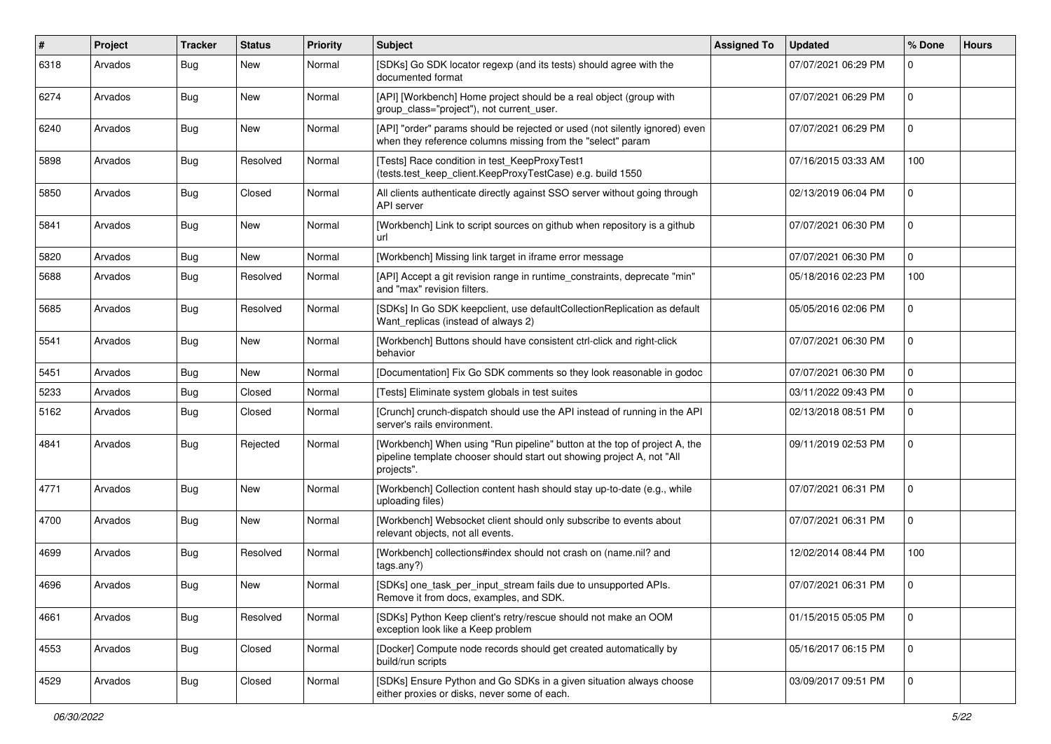| #    | Project | <b>Tracker</b> | <b>Status</b> | <b>Priority</b> | <b>Subject</b>                                                                                                                                                    | <b>Assigned To</b> | <b>Updated</b>      | % Done       | <b>Hours</b> |
|------|---------|----------------|---------------|-----------------|-------------------------------------------------------------------------------------------------------------------------------------------------------------------|--------------------|---------------------|--------------|--------------|
| 6318 | Arvados | <b>Bug</b>     | New           | Normal          | [SDKs] Go SDK locator regexp (and its tests) should agree with the<br>documented format                                                                           |                    | 07/07/2021 06:29 PM | $\Omega$     |              |
| 6274 | Arvados | <b>Bug</b>     | New           | Normal          | [API] [Workbench] Home project should be a real object (group with<br>group_class="project"), not current_user.                                                   |                    | 07/07/2021 06:29 PM | $\Omega$     |              |
| 6240 | Arvados | Bug            | New           | Normal          | [API] "order" params should be rejected or used (not silently ignored) even<br>when they reference columns missing from the "select" param                        |                    | 07/07/2021 06:29 PM | $\Omega$     |              |
| 5898 | Arvados | <b>Bug</b>     | Resolved      | Normal          | [Tests] Race condition in test_KeepProxyTest1<br>(tests.test keep client.KeepProxyTestCase) e.g. build 1550                                                       |                    | 07/16/2015 03:33 AM | 100          |              |
| 5850 | Arvados | <b>Bug</b>     | Closed        | Normal          | All clients authenticate directly against SSO server without going through<br>API server                                                                          |                    | 02/13/2019 06:04 PM | $\Omega$     |              |
| 5841 | Arvados | Bug            | New           | Normal          | [Workbench] Link to script sources on github when repository is a github<br>url                                                                                   |                    | 07/07/2021 06:30 PM | $\mathbf 0$  |              |
| 5820 | Arvados | Bug            | New           | Normal          | [Workbench] Missing link target in iframe error message                                                                                                           |                    | 07/07/2021 06:30 PM | $\mathbf{0}$ |              |
| 5688 | Arvados | Bug            | Resolved      | Normal          | [API] Accept a git revision range in runtime constraints, deprecate "min"<br>and "max" revision filters.                                                          |                    | 05/18/2016 02:23 PM | 100          |              |
| 5685 | Arvados | <b>Bug</b>     | Resolved      | Normal          | [SDKs] In Go SDK keepclient, use defaultCollectionReplication as default<br>Want_replicas (instead of always 2)                                                   |                    | 05/05/2016 02:06 PM | $\Omega$     |              |
| 5541 | Arvados | Bug            | New           | Normal          | [Workbench] Buttons should have consistent ctrl-click and right-click<br>behavior                                                                                 |                    | 07/07/2021 06:30 PM | $\Omega$     |              |
| 5451 | Arvados | Bug            | New           | Normal          | [Documentation] Fix Go SDK comments so they look reasonable in godoc                                                                                              |                    | 07/07/2021 06:30 PM | $\Omega$     |              |
| 5233 | Arvados | Bug            | Closed        | Normal          | [Tests] Eliminate system globals in test suites                                                                                                                   |                    | 03/11/2022 09:43 PM | $\Omega$     |              |
| 5162 | Arvados | Bug            | Closed        | Normal          | [Crunch] crunch-dispatch should use the API instead of running in the API<br>server's rails environment.                                                          |                    | 02/13/2018 08:51 PM | $\Omega$     |              |
| 4841 | Arvados | Bug            | Rejected      | Normal          | [Workbench] When using "Run pipeline" button at the top of project A, the<br>pipeline template chooser should start out showing project A, not "All<br>projects". |                    | 09/11/2019 02:53 PM | $\Omega$     |              |
| 4771 | Arvados | <b>Bug</b>     | New           | Normal          | [Workbench] Collection content hash should stay up-to-date (e.g., while<br>uploading files)                                                                       |                    | 07/07/2021 06:31 PM | $\Omega$     |              |
| 4700 | Arvados | <b>Bug</b>     | New           | Normal          | [Workbench] Websocket client should only subscribe to events about<br>relevant objects, not all events.                                                           |                    | 07/07/2021 06:31 PM | $\Omega$     |              |
| 4699 | Arvados | Bug            | Resolved      | Normal          | [Workbench] collections#index should not crash on (name.nil? and<br>tags.any?)                                                                                    |                    | 12/02/2014 08:44 PM | 100          |              |
| 4696 | Arvados | Bug            | New           | Normal          | [SDKs] one_task_per_input_stream fails due to unsupported APIs.<br>Remove it from docs, examples, and SDK.                                                        |                    | 07/07/2021 06:31 PM | $\mathbf 0$  |              |
| 4661 | Arvados | <b>Bug</b>     | Resolved      | Normal          | [SDKs] Python Keep client's retry/rescue should not make an OOM<br>exception look like a Keep problem                                                             |                    | 01/15/2015 05:05 PM | $\Omega$     |              |
| 4553 | Arvados | <b>Bug</b>     | Closed        | Normal          | [Docker] Compute node records should get created automatically by<br>build/run scripts                                                                            |                    | 05/16/2017 06:15 PM | $\mathbf{0}$ |              |
| 4529 | Arvados | <b>Bug</b>     | Closed        | Normal          | [SDKs] Ensure Python and Go SDKs in a given situation always choose<br>either proxies or disks, never some of each.                                               |                    | 03/09/2017 09:51 PM | $\mathbf{0}$ |              |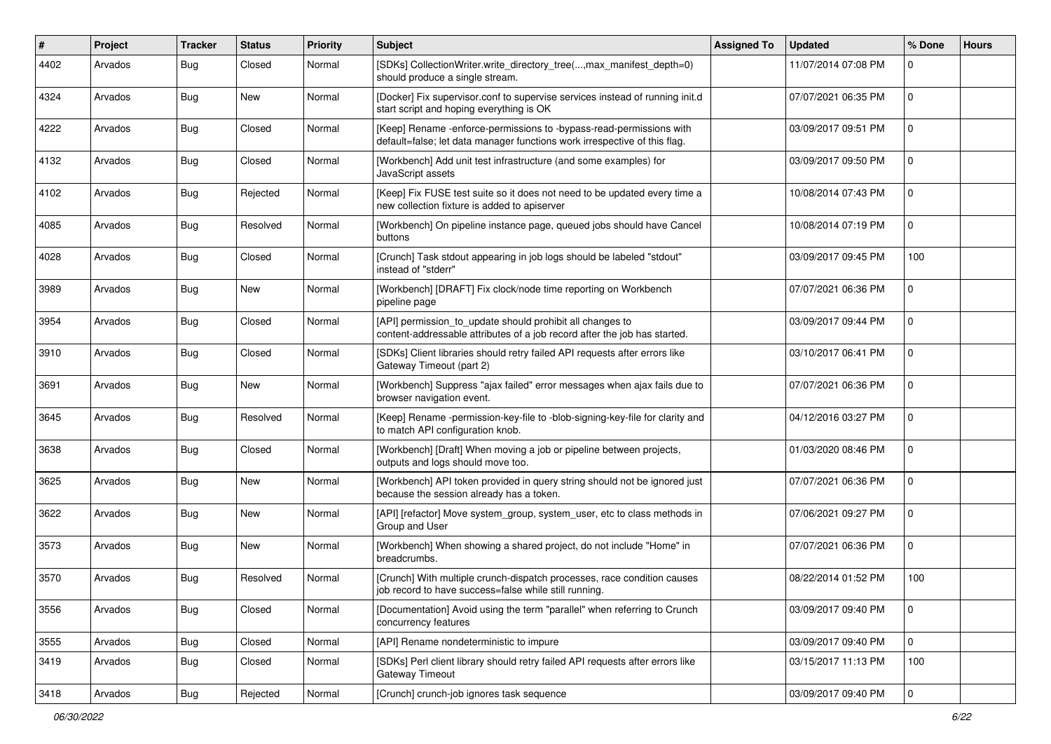| #    | Project | <b>Tracker</b> | <b>Status</b> | <b>Priority</b> | Subject                                                                                                                                          | <b>Assigned To</b> | <b>Updated</b>      | % Done         | <b>Hours</b> |
|------|---------|----------------|---------------|-----------------|--------------------------------------------------------------------------------------------------------------------------------------------------|--------------------|---------------------|----------------|--------------|
| 4402 | Arvados | Bug            | Closed        | Normal          | [SDKs] CollectionWriter.write_directory_tree(,max_manifest_depth=0)<br>should produce a single stream.                                           |                    | 11/07/2014 07:08 PM | $\Omega$       |              |
| 4324 | Arvados | <b>Bug</b>     | New           | Normal          | [Docker] Fix supervisor.conf to supervise services instead of running init.d<br>start script and hoping everything is OK                         |                    | 07/07/2021 06:35 PM | $\mathbf 0$    |              |
| 4222 | Arvados | <b>Bug</b>     | Closed        | Normal          | [Keep] Rename -enforce-permissions to -bypass-read-permissions with<br>default=false; let data manager functions work irrespective of this flag. |                    | 03/09/2017 09:51 PM | $\overline{0}$ |              |
| 4132 | Arvados | <b>Bug</b>     | Closed        | Normal          | [Workbench] Add unit test infrastructure (and some examples) for<br>JavaScript assets                                                            |                    | 03/09/2017 09:50 PM | $\overline{0}$ |              |
| 4102 | Arvados | <b>Bug</b>     | Rejected      | Normal          | [Keep] Fix FUSE test suite so it does not need to be updated every time a<br>new collection fixture is added to apiserver                        |                    | 10/08/2014 07:43 PM | $\mathbf 0$    |              |
| 4085 | Arvados | <b>Bug</b>     | Resolved      | Normal          | [Workbench] On pipeline instance page, queued jobs should have Cancel<br>buttons                                                                 |                    | 10/08/2014 07:19 PM | $\overline{0}$ |              |
| 4028 | Arvados | Bug            | Closed        | Normal          | [Crunch] Task stdout appearing in job logs should be labeled "stdout"<br>instead of "stderr"                                                     |                    | 03/09/2017 09:45 PM | 100            |              |
| 3989 | Arvados | <b>Bug</b>     | New           | Normal          | [Workbench] [DRAFT] Fix clock/node time reporting on Workbench<br>pipeline page                                                                  |                    | 07/07/2021 06:36 PM | $\mathbf 0$    |              |
| 3954 | Arvados | <b>Bug</b>     | Closed        | Normal          | [API] permission_to_update should prohibit all changes to<br>content-addressable attributes of a job record after the job has started.           |                    | 03/09/2017 09:44 PM | $\mathbf 0$    |              |
| 3910 | Arvados | <b>Bug</b>     | Closed        | Normal          | [SDKs] Client libraries should retry failed API requests after errors like<br>Gateway Timeout (part 2)                                           |                    | 03/10/2017 06:41 PM | $\overline{0}$ |              |
| 3691 | Arvados | <b>Bug</b>     | New           | Normal          | [Workbench] Suppress "ajax failed" error messages when ajax fails due to<br>browser navigation event.                                            |                    | 07/07/2021 06:36 PM | $\overline{0}$ |              |
| 3645 | Arvados | <b>Bug</b>     | Resolved      | Normal          | [Keep] Rename -permission-key-file to -blob-signing-key-file for clarity and<br>to match API configuration knob.                                 |                    | 04/12/2016 03:27 PM | $\Omega$       |              |
| 3638 | Arvados | <b>Bug</b>     | Closed        | Normal          | [Workbench] [Draft] When moving a job or pipeline between projects,<br>outputs and logs should move too.                                         |                    | 01/03/2020 08:46 PM | $\overline{0}$ |              |
| 3625 | Arvados | <b>Bug</b>     | New           | Normal          | [Workbench] API token provided in query string should not be ignored just<br>because the session already has a token.                            |                    | 07/07/2021 06:36 PM | $\mathbf 0$    |              |
| 3622 | Arvados | <b>Bug</b>     | New           | Normal          | [API] [refactor] Move system_group, system_user, etc to class methods in<br>Group and User                                                       |                    | 07/06/2021 09:27 PM | $\mathbf{0}$   |              |
| 3573 | Arvados | <b>Bug</b>     | New           | Normal          | [Workbench] When showing a shared project, do not include "Home" in<br>breadcrumbs.                                                              |                    | 07/07/2021 06:36 PM | $\mathbf 0$    |              |
| 3570 | Arvados | <b>Bug</b>     | Resolved      | Normal          | [Crunch] With multiple crunch-dispatch processes, race condition causes<br>job record to have success=false while still running.                 |                    | 08/22/2014 01:52 PM | 100            |              |
| 3556 | Arvados | <b>Bug</b>     | Closed        | Normal          | [Documentation] Avoid using the term "parallel" when referring to Crunch<br>concurrency features                                                 |                    | 03/09/2017 09:40 PM | $\mathbf 0$    |              |
| 3555 | Arvados | <b>Bug</b>     | Closed        | Normal          | [API] Rename nondeterministic to impure                                                                                                          |                    | 03/09/2017 09:40 PM | $\mathbf{0}$   |              |
| 3419 | Arvados | <b>Bug</b>     | Closed        | Normal          | [SDKs] Perl client library should retry failed API requests after errors like<br>Gateway Timeout                                                 |                    | 03/15/2017 11:13 PM | 100            |              |
| 3418 | Arvados | Bug            | Rejected      | Normal          | [Crunch] crunch-job ignores task sequence                                                                                                        |                    | 03/09/2017 09:40 PM | $\overline{0}$ |              |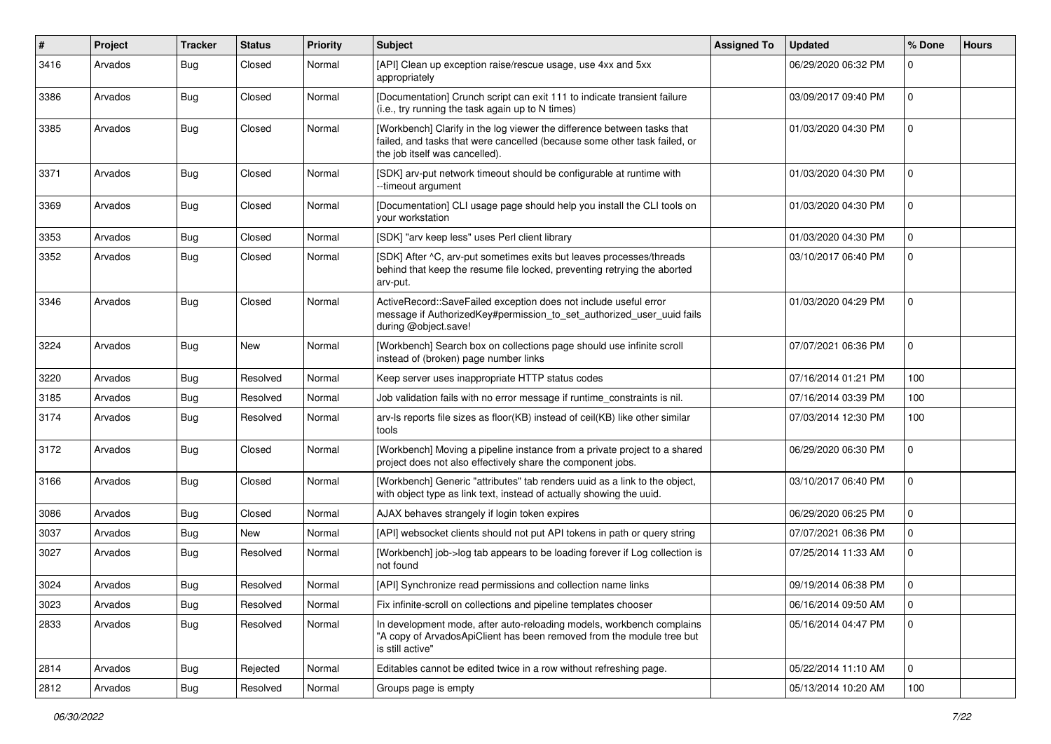| $\#$ | Project | <b>Tracker</b>   | <b>Status</b> | <b>Priority</b> | Subject                                                                                                                                                                                | <b>Assigned To</b> | <b>Updated</b>      | % Done         | <b>Hours</b> |
|------|---------|------------------|---------------|-----------------|----------------------------------------------------------------------------------------------------------------------------------------------------------------------------------------|--------------------|---------------------|----------------|--------------|
| 3416 | Arvados | <b>Bug</b>       | Closed        | Normal          | [API] Clean up exception raise/rescue usage, use 4xx and 5xx<br>appropriately                                                                                                          |                    | 06/29/2020 06:32 PM | $\mathbf 0$    |              |
| 3386 | Arvados | <b>Bug</b>       | Closed        | Normal          | [Documentation] Crunch script can exit 111 to indicate transient failure<br>(i.e., try running the task again up to N times)                                                           |                    | 03/09/2017 09:40 PM | $\mathbf 0$    |              |
| 3385 | Arvados | <b>Bug</b>       | Closed        | Normal          | [Workbench] Clarify in the log viewer the difference between tasks that<br>failed, and tasks that were cancelled (because some other task failed, or<br>the job itself was cancelled). |                    | 01/03/2020 04:30 PM | $\overline{0}$ |              |
| 3371 | Arvados | <b>Bug</b>       | Closed        | Normal          | [SDK] arv-put network timeout should be configurable at runtime with<br>--timeout argument                                                                                             |                    | 01/03/2020 04:30 PM | $\overline{0}$ |              |
| 3369 | Arvados | <b>Bug</b>       | Closed        | Normal          | [Documentation] CLI usage page should help you install the CLI tools on<br>your workstation                                                                                            |                    | 01/03/2020 04:30 PM | $\overline{0}$ |              |
| 3353 | Arvados | <b>Bug</b>       | Closed        | Normal          | [SDK] "arv keep less" uses Perl client library                                                                                                                                         |                    | 01/03/2020 04:30 PM | $\Omega$       |              |
| 3352 | Arvados | <b>Bug</b>       | Closed        | Normal          | [SDK] After ^C, arv-put sometimes exits but leaves processes/threads<br>behind that keep the resume file locked, preventing retrying the aborted<br>arv-put.                           |                    | 03/10/2017 06:40 PM | $\overline{0}$ |              |
| 3346 | Arvados | <b>Bug</b>       | Closed        | Normal          | ActiveRecord::SaveFailed exception does not include useful error<br>message if AuthorizedKey#permission_to_set_authorized_user_uuid fails<br>during @object.save!                      |                    | 01/03/2020 04:29 PM | $\Omega$       |              |
| 3224 | Arvados | <b>Bug</b>       | New           | Normal          | [Workbench] Search box on collections page should use infinite scroll<br>instead of (broken) page number links                                                                         |                    | 07/07/2021 06:36 PM | $\overline{0}$ |              |
| 3220 | Arvados | <b>Bug</b>       | Resolved      | Normal          | Keep server uses inappropriate HTTP status codes                                                                                                                                       |                    | 07/16/2014 01:21 PM | 100            |              |
| 3185 | Arvados | <b>Bug</b>       | Resolved      | Normal          | Job validation fails with no error message if runtime_constraints is nil.                                                                                                              |                    | 07/16/2014 03:39 PM | 100            |              |
| 3174 | Arvados | <b>Bug</b>       | Resolved      | Normal          | arv-ls reports file sizes as floor(KB) instead of ceil(KB) like other similar<br>tools                                                                                                 |                    | 07/03/2014 12:30 PM | 100            |              |
| 3172 | Arvados | <b>Bug</b>       | Closed        | Normal          | [Workbench] Moving a pipeline instance from a private project to a shared<br>project does not also effectively share the component jobs.                                               |                    | 06/29/2020 06:30 PM | $\overline{0}$ |              |
| 3166 | Arvados | <b>Bug</b>       | Closed        | Normal          | [Workbench] Generic "attributes" tab renders uuid as a link to the object,<br>with object type as link text, instead of actually showing the uuid.                                     |                    | 03/10/2017 06:40 PM | $\overline{0}$ |              |
| 3086 | Arvados | <b>Bug</b>       | Closed        | Normal          | AJAX behaves strangely if login token expires                                                                                                                                          |                    | 06/29/2020 06:25 PM | $\overline{0}$ |              |
| 3037 | Arvados | <b>Bug</b>       | New           | Normal          | [API] websocket clients should not put API tokens in path or query string                                                                                                              |                    | 07/07/2021 06:36 PM | $\mathbf 0$    |              |
| 3027 | Arvados | <b>Bug</b>       | Resolved      | Normal          | [Workbench] job->log tab appears to be loading forever if Log collection is<br>not found                                                                                               |                    | 07/25/2014 11:33 AM | $\Omega$       |              |
| 3024 | Arvados | <b>Bug</b>       | Resolved      | Normal          | [API] Synchronize read permissions and collection name links                                                                                                                           |                    | 09/19/2014 06:38 PM | $\overline{0}$ |              |
| 3023 | Arvados | <sub>I</sub> Bug | Resolved      | Normal          | Fix infinite-scroll on collections and pipeline templates chooser                                                                                                                      |                    | 06/16/2014 09:50 AM | l 0            |              |
| 2833 | Arvados | Bug              | Resolved      | Normal          | In development mode, after auto-reloading models, workbench complains<br>"A copy of ArvadosApiClient has been removed from the module tree but<br>is still active"                     |                    | 05/16/2014 04:47 PM | $\overline{0}$ |              |
| 2814 | Arvados | Bug              | Rejected      | Normal          | Editables cannot be edited twice in a row without refreshing page.                                                                                                                     |                    | 05/22/2014 11:10 AM | $\overline{0}$ |              |
| 2812 | Arvados | Bug              | Resolved      | Normal          | Groups page is empty                                                                                                                                                                   |                    | 05/13/2014 10:20 AM | 100            |              |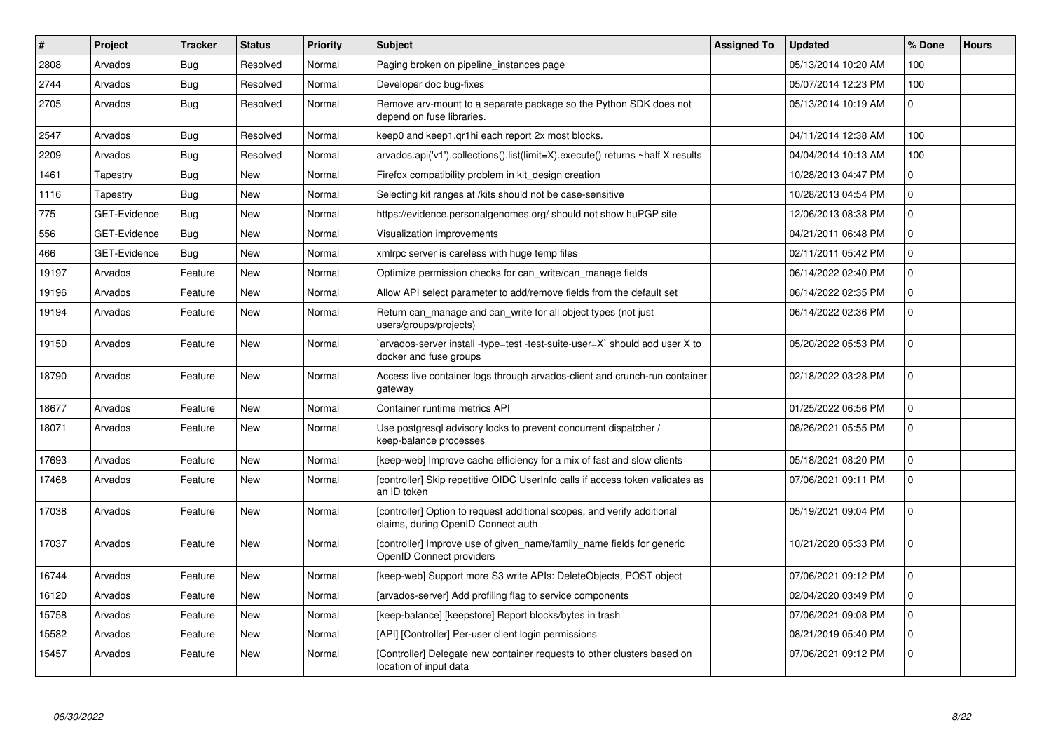| $\vert$ # | Project             | <b>Tracker</b> | <b>Status</b> | <b>Priority</b> | <b>Subject</b>                                                                                                | <b>Assigned To</b> | <b>Updated</b>      | % Done      | <b>Hours</b> |
|-----------|---------------------|----------------|---------------|-----------------|---------------------------------------------------------------------------------------------------------------|--------------------|---------------------|-------------|--------------|
| 2808      | Arvados             | Bug            | Resolved      | Normal          | Paging broken on pipeline instances page                                                                      |                    | 05/13/2014 10:20 AM | 100         |              |
| 2744      | Arvados             | Bug            | Resolved      | Normal          | Developer doc bug-fixes                                                                                       |                    | 05/07/2014 12:23 PM | 100         |              |
| 2705      | Arvados             | Bug            | Resolved      | Normal          | Remove arv-mount to a separate package so the Python SDK does not<br>depend on fuse libraries.                |                    | 05/13/2014 10:19 AM | $\Omega$    |              |
| 2547      | Arvados             | Bug            | Resolved      | Normal          | keep0 and keep1.gr1hi each report 2x most blocks.                                                             |                    | 04/11/2014 12:38 AM | 100         |              |
| 2209      | Arvados             | <b>Bug</b>     | Resolved      | Normal          | arvados.api('v1').collections().list(limit=X).execute() returns ~half X results                               |                    | 04/04/2014 10:13 AM | 100         |              |
| 1461      | Tapestry            | <b>Bug</b>     | New           | Normal          | Firefox compatibility problem in kit_design creation                                                          |                    | 10/28/2013 04:47 PM | $\mathbf 0$ |              |
| 1116      | Tapestry            | Bug            | New           | Normal          | Selecting kit ranges at /kits should not be case-sensitive                                                    |                    | 10/28/2013 04:54 PM | $\Omega$    |              |
| 775       | <b>GET-Evidence</b> | Bug            | New           | Normal          | https://evidence.personalgenomes.org/ should not show huPGP site                                              |                    | 12/06/2013 08:38 PM | $\mathbf 0$ |              |
| 556       | <b>GET-Evidence</b> | Bug            | New           | Normal          | Visualization improvements                                                                                    |                    | 04/21/2011 06:48 PM | $\mathbf 0$ |              |
| 466       | <b>GET-Evidence</b> | Bug            | New           | Normal          | xmlrpc server is careless with huge temp files                                                                |                    | 02/11/2011 05:42 PM | $\Omega$    |              |
| 19197     | Arvados             | Feature        | New           | Normal          | Optimize permission checks for can write/can manage fields                                                    |                    | 06/14/2022 02:40 PM | $\Omega$    |              |
| 19196     | Arvados             | Feature        | New           | Normal          | Allow API select parameter to add/remove fields from the default set                                          |                    | 06/14/2022 02:35 PM | $\Omega$    |              |
| 19194     | Arvados             | Feature        | New           | Normal          | Return can manage and can write for all object types (not just<br>users/groups/projects)                      |                    | 06/14/2022 02:36 PM | $\mathbf 0$ |              |
| 19150     | Arvados             | Feature        | New           | Normal          | `arvados-server install -type=test -test-suite-user=X` should add user X to<br>docker and fuse groups         |                    | 05/20/2022 05:53 PM | $\Omega$    |              |
| 18790     | Arvados             | Feature        | <b>New</b>    | Normal          | Access live container logs through arvados-client and crunch-run container<br>gateway                         |                    | 02/18/2022 03:28 PM | $\Omega$    |              |
| 18677     | Arvados             | Feature        | <b>New</b>    | Normal          | Container runtime metrics API                                                                                 |                    | 01/25/2022 06:56 PM | $\Omega$    |              |
| 18071     | Arvados             | Feature        | New           | Normal          | Use postgresql advisory locks to prevent concurrent dispatcher /<br>keep-balance processes                    |                    | 08/26/2021 05:55 PM | $\Omega$    |              |
| 17693     | Arvados             | Feature        | <b>New</b>    | Normal          | [keep-web] Improve cache efficiency for a mix of fast and slow clients                                        |                    | 05/18/2021 08:20 PM | $\Omega$    |              |
| 17468     | Arvados             | Feature        | New           | Normal          | [controller] Skip repetitive OIDC UserInfo calls if access token validates as<br>an ID token                  |                    | 07/06/2021 09:11 PM | $\Omega$    |              |
| 17038     | Arvados             | Feature        | New           | Normal          | [controller] Option to request additional scopes, and verify additional<br>claims, during OpenID Connect auth |                    | 05/19/2021 09:04 PM | $\mathbf 0$ |              |
| 17037     | Arvados             | Feature        | New           | Normal          | [controller] Improve use of given_name/family_name fields for generic<br>OpenID Connect providers             |                    | 10/21/2020 05:33 PM | $\Omega$    |              |
| 16744     | Arvados             | Feature        | New           | Normal          | [keep-web] Support more S3 write APIs: DeleteObjects, POST object                                             |                    | 07/06/2021 09:12 PM | $\Omega$    |              |
| 16120     | Arvados             | Feature        | New           | Normal          | [arvados-server] Add profiling flag to service components                                                     |                    | 02/04/2020 03:49 PM | $\mathbf 0$ |              |
| 15758     | Arvados             | Feature        | <b>New</b>    | Normal          | [keep-balance] [keepstore] Report blocks/bytes in trash                                                       |                    | 07/06/2021 09:08 PM | $\Omega$    |              |
| 15582     | Arvados             | Feature        | New           | Normal          | [API] [Controller] Per-user client login permissions                                                          |                    | 08/21/2019 05:40 PM | $\Omega$    |              |
| 15457     | Arvados             | Feature        | <b>New</b>    | Normal          | [Controller] Delegate new container requests to other clusters based on<br>location of input data             |                    | 07/06/2021 09:12 PM | $\Omega$    |              |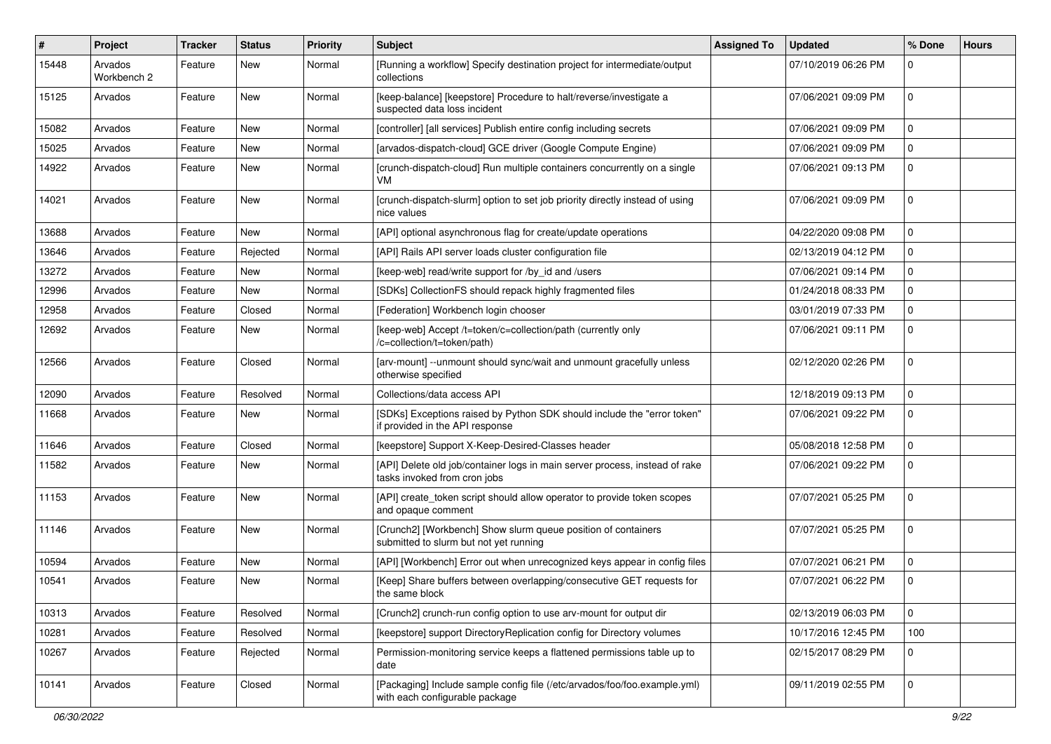| #     | Project                | <b>Tracker</b> | <b>Status</b> | <b>Priority</b> | Subject                                                                                                     | <b>Assigned To</b> | <b>Updated</b>      | % Done         | <b>Hours</b> |
|-------|------------------------|----------------|---------------|-----------------|-------------------------------------------------------------------------------------------------------------|--------------------|---------------------|----------------|--------------|
| 15448 | Arvados<br>Workbench 2 | Feature        | New           | Normal          | [Running a workflow] Specify destination project for intermediate/output<br>collections                     |                    | 07/10/2019 06:26 PM | $\Omega$       |              |
| 15125 | Arvados                | Feature        | New           | Normal          | [keep-balance] [keepstore] Procedure to halt/reverse/investigate a<br>suspected data loss incident          |                    | 07/06/2021 09:09 PM | $\mathbf 0$    |              |
| 15082 | Arvados                | Feature        | New           | Normal          | [controller] [all services] Publish entire config including secrets                                         |                    | 07/06/2021 09:09 PM | $\overline{0}$ |              |
| 15025 | Arvados                | Feature        | New           | Normal          | [arvados-dispatch-cloud] GCE driver (Google Compute Engine)                                                 |                    | 07/06/2021 09:09 PM | $\mathbf 0$    |              |
| 14922 | Arvados                | Feature        | New           | Normal          | [crunch-dispatch-cloud] Run multiple containers concurrently on a single<br>VM                              |                    | 07/06/2021 09:13 PM | $\mathbf 0$    |              |
| 14021 | Arvados                | Feature        | New           | Normal          | [crunch-dispatch-slurm] option to set job priority directly instead of using<br>nice values                 |                    | 07/06/2021 09:09 PM | $\mathbf 0$    |              |
| 13688 | Arvados                | Feature        | New           | Normal          | [API] optional asynchronous flag for create/update operations                                               |                    | 04/22/2020 09:08 PM | $\overline{0}$ |              |
| 13646 | Arvados                | Feature        | Rejected      | Normal          | [API] Rails API server loads cluster configuration file                                                     |                    | 02/13/2019 04:12 PM | $\mathbf 0$    |              |
| 13272 | Arvados                | Feature        | New           | Normal          | [keep-web] read/write support for /by_id and /users                                                         |                    | 07/06/2021 09:14 PM | $\overline{0}$ |              |
| 12996 | Arvados                | Feature        | New           | Normal          | [SDKs] CollectionFS should repack highly fragmented files                                                   |                    | 01/24/2018 08:33 PM | $\mathbf 0$    |              |
| 12958 | Arvados                | Feature        | Closed        | Normal          | [Federation] Workbench login chooser                                                                        |                    | 03/01/2019 07:33 PM | $\overline{0}$ |              |
| 12692 | Arvados                | Feature        | New           | Normal          | [keep-web] Accept /t=token/c=collection/path (currently only<br>/c=collection/t=token/path)                 |                    | 07/06/2021 09:11 PM | $\mathbf 0$    |              |
| 12566 | Arvados                | Feature        | Closed        | Normal          | [arv-mount] --unmount should sync/wait and unmount gracefully unless<br>otherwise specified                 |                    | 02/12/2020 02:26 PM | $\mathbf 0$    |              |
| 12090 | Arvados                | Feature        | Resolved      | Normal          | Collections/data access API                                                                                 |                    | 12/18/2019 09:13 PM | $\mathbf 0$    |              |
| 11668 | Arvados                | Feature        | New           | Normal          | [SDKs] Exceptions raised by Python SDK should include the "error token"<br>if provided in the API response  |                    | 07/06/2021 09:22 PM | $\overline{0}$ |              |
| 11646 | Arvados                | Feature        | Closed        | Normal          | [keepstore] Support X-Keep-Desired-Classes header                                                           |                    | 05/08/2018 12:58 PM | $\overline{0}$ |              |
| 11582 | Arvados                | Feature        | New           | Normal          | [API] Delete old job/container logs in main server process, instead of rake<br>tasks invoked from cron jobs |                    | 07/06/2021 09:22 PM | $\overline{0}$ |              |
| 11153 | Arvados                | Feature        | New           | Normal          | [API] create_token script should allow operator to provide token scopes<br>and opaque comment               |                    | 07/07/2021 05:25 PM | $\mathbf 0$    |              |
| 11146 | Arvados                | Feature        | New           | Normal          | [Crunch2] [Workbench] Show slurm queue position of containers<br>submitted to slurm but not yet running     |                    | 07/07/2021 05:25 PM | $\mathbf 0$    |              |
| 10594 | Arvados                | Feature        | New           | Normal          | [API] [Workbench] Error out when unrecognized keys appear in config files                                   |                    | 07/07/2021 06:21 PM | $\mathbf 0$    |              |
| 10541 | Arvados                | Feature        | New           | Normal          | [Keep] Share buffers between overlapping/consecutive GET requests for<br>the same block                     |                    | 07/07/2021 06:22 PM | $\overline{0}$ |              |
| 10313 | Arvados                | Feature        | Resolved      | Normal          | [Crunch2] crunch-run config option to use arv-mount for output dir                                          |                    | 02/13/2019 06:03 PM | $\mathbf 0$    |              |
| 10281 | Arvados                | Feature        | Resolved      | Normal          | [keepstore] support DirectoryReplication config for Directory volumes                                       |                    | 10/17/2016 12:45 PM | 100            |              |
| 10267 | Arvados                | Feature        | Rejected      | Normal          | Permission-monitoring service keeps a flattened permissions table up to<br>date                             |                    | 02/15/2017 08:29 PM | $\overline{0}$ |              |
| 10141 | Arvados                | Feature        | Closed        | Normal          | [Packaging] Include sample config file (/etc/arvados/foo/foo.example.yml)<br>with each configurable package |                    | 09/11/2019 02:55 PM | $\mathbf 0$    |              |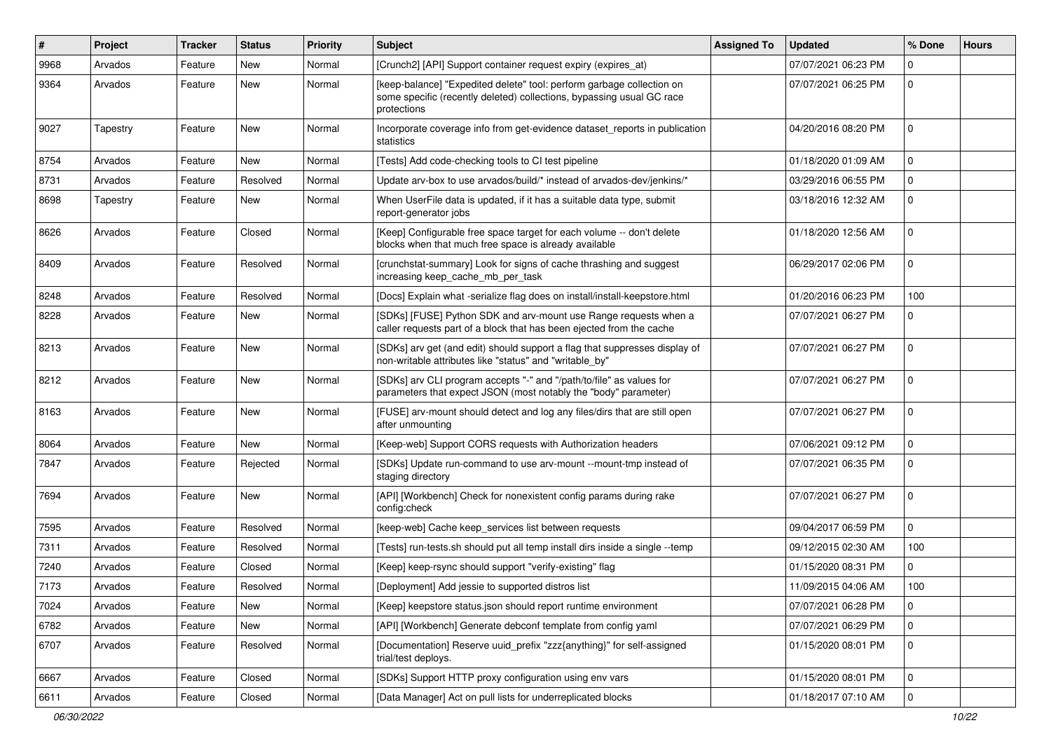| $\sharp$ | Project  | <b>Tracker</b> | <b>Status</b> | <b>Priority</b> | <b>Subject</b>                                                                                                                                                | <b>Assigned To</b> | <b>Updated</b>      | % Done         | <b>Hours</b> |
|----------|----------|----------------|---------------|-----------------|---------------------------------------------------------------------------------------------------------------------------------------------------------------|--------------------|---------------------|----------------|--------------|
| 9968     | Arvados  | Feature        | New           | Normal          | [Crunch2] [API] Support container request expiry (expires_at)                                                                                                 |                    | 07/07/2021 06:23 PM | $\Omega$       |              |
| 9364     | Arvados  | Feature        | New           | Normal          | [keep-balance] "Expedited delete" tool: perform garbage collection on<br>some specific (recently deleted) collections, bypassing usual GC race<br>protections |                    | 07/07/2021 06:25 PM | $\mathbf 0$    |              |
| 9027     | Tapestry | Feature        | <b>New</b>    | Normal          | Incorporate coverage info from get-evidence dataset reports in publication<br>statistics                                                                      |                    | 04/20/2016 08:20 PM | $\mathbf{0}$   |              |
| 8754     | Arvados  | Feature        | <b>New</b>    | Normal          | [Tests] Add code-checking tools to CI test pipeline                                                                                                           |                    | 01/18/2020 01:09 AM | $\overline{0}$ |              |
| 8731     | Arvados  | Feature        | Resolved      | Normal          | Update arv-box to use arvados/build/* instead of arvados-dev/jenkins/*                                                                                        |                    | 03/29/2016 06:55 PM | $\mathbf 0$    |              |
| 8698     | Tapestry | Feature        | New           | Normal          | When UserFile data is updated, if it has a suitable data type, submit<br>report-generator jobs                                                                |                    | 03/18/2016 12:32 AM | $\mathbf 0$    |              |
| 8626     | Arvados  | Feature        | Closed        | Normal          | [Keep] Configurable free space target for each volume -- don't delete<br>blocks when that much free space is already available                                |                    | 01/18/2020 12:56 AM | $\mathbf 0$    |              |
| 8409     | Arvados  | Feature        | Resolved      | Normal          | [crunchstat-summary] Look for signs of cache thrashing and suggest<br>increasing keep_cache_mb_per_task                                                       |                    | 06/29/2017 02:06 PM | $\overline{0}$ |              |
| 8248     | Arvados  | Feature        | Resolved      | Normal          | [Docs] Explain what -serialize flag does on install/install-keepstore.html                                                                                    |                    | 01/20/2016 06:23 PM | 100            |              |
| 8228     | Arvados  | Feature        | New           | Normal          | [SDKs] [FUSE] Python SDK and arv-mount use Range requests when a<br>caller requests part of a block that has been ejected from the cache                      |                    | 07/07/2021 06:27 PM | $\mathbf{0}$   |              |
| 8213     | Arvados  | Feature        | New           | Normal          | [SDKs] arv get (and edit) should support a flag that suppresses display of<br>non-writable attributes like "status" and "writable_by"                         |                    | 07/07/2021 06:27 PM | $\overline{0}$ |              |
| 8212     | Arvados  | Feature        | New           | Normal          | [SDKs] arv CLI program accepts "-" and "/path/to/file" as values for<br>parameters that expect JSON (most notably the "body" parameter)                       |                    | 07/07/2021 06:27 PM | $\mathbf 0$    |              |
| 8163     | Arvados  | Feature        | New           | Normal          | [FUSE] arv-mount should detect and log any files/dirs that are still open<br>after unmounting                                                                 |                    | 07/07/2021 06:27 PM | $\overline{0}$ |              |
| 8064     | Arvados  | Feature        | <b>New</b>    | Normal          | [Keep-web] Support CORS requests with Authorization headers                                                                                                   |                    | 07/06/2021 09:12 PM | $\overline{0}$ |              |
| 7847     | Arvados  | Feature        | Rejected      | Normal          | [SDKs] Update run-command to use arv-mount --mount-tmp instead of<br>staging directory                                                                        |                    | 07/07/2021 06:35 PM | $\mathbf 0$    |              |
| 7694     | Arvados  | Feature        | New           | Normal          | [API] [Workbench] Check for nonexistent config params during rake<br>config:check                                                                             |                    | 07/07/2021 06:27 PM | $\mathbf 0$    |              |
| 7595     | Arvados  | Feature        | Resolved      | Normal          | [keep-web] Cache keep_services list between requests                                                                                                          |                    | 09/04/2017 06:59 PM | $\mathbf 0$    |              |
| 7311     | Arvados  | Feature        | Resolved      | Normal          | [Tests] run-tests.sh should put all temp install dirs inside a single --temp                                                                                  |                    | 09/12/2015 02:30 AM | 100            |              |
| 7240     | Arvados  | Feature        | Closed        | Normal          | [Keep] keep-rsync should support "verify-existing" flag                                                                                                       |                    | 01/15/2020 08:31 PM | $\Omega$       |              |
| 7173     | Arvados  | Feature        | Resolved      | Normal          | [Deployment] Add jessie to supported distros list                                                                                                             |                    | 11/09/2015 04:06 AM | 100            |              |
| 7024     | Arvados  | Feature        | New           | Normal          | [Keep] keepstore status.json should report runtime environment                                                                                                |                    | 07/07/2021 06:28 PM | $\mathbf 0$    |              |
| 6782     | Arvados  | Feature        | New           | Normal          | [API] [Workbench] Generate debconf template from config yaml                                                                                                  |                    | 07/07/2021 06:29 PM | $\mathbf 0$    |              |
| 6707     | Arvados  | Feature        | Resolved      | Normal          | [Documentation] Reserve uuid_prefix "zzz{anything}" for self-assigned<br>trial/test deploys.                                                                  |                    | 01/15/2020 08:01 PM | $\overline{0}$ |              |
| 6667     | Arvados  | Feature        | Closed        | Normal          | [SDKs] Support HTTP proxy configuration using env vars                                                                                                        |                    | 01/15/2020 08:01 PM | $\overline{0}$ |              |
| 6611     | Arvados  | Feature        | Closed        | Normal          | [Data Manager] Act on pull lists for underreplicated blocks                                                                                                   |                    | 01/18/2017 07:10 AM | $\overline{0}$ |              |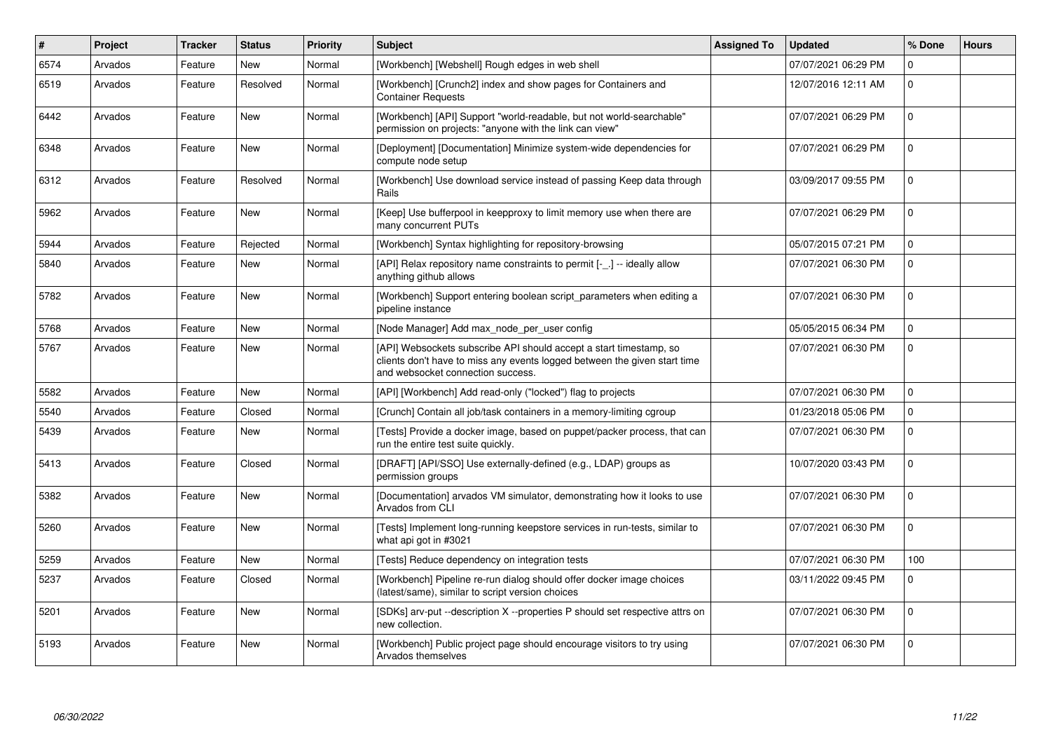| $\vert$ # | Project | <b>Tracker</b> | <b>Status</b> | <b>Priority</b> | <b>Subject</b>                                                                                                                                                                       | <b>Assigned To</b> | <b>Updated</b>      | % Done         | <b>Hours</b> |
|-----------|---------|----------------|---------------|-----------------|--------------------------------------------------------------------------------------------------------------------------------------------------------------------------------------|--------------------|---------------------|----------------|--------------|
| 6574      | Arvados | Feature        | <b>New</b>    | Normal          | [Workbench] [Webshell] Rough edges in web shell                                                                                                                                      |                    | 07/07/2021 06:29 PM | $\Omega$       |              |
| 6519      | Arvados | Feature        | Resolved      | Normal          | [Workbench] [Crunch2] index and show pages for Containers and<br><b>Container Requests</b>                                                                                           |                    | 12/07/2016 12:11 AM | $\overline{0}$ |              |
| 6442      | Arvados | Feature        | New           | Normal          | [Workbench] [API] Support "world-readable, but not world-searchable"<br>permission on projects: "anyone with the link can view"                                                      |                    | 07/07/2021 06:29 PM | $\overline{0}$ |              |
| 6348      | Arvados | Feature        | New           | Normal          | [Deployment] [Documentation] Minimize system-wide dependencies for<br>compute node setup                                                                                             |                    | 07/07/2021 06:29 PM | $\overline{0}$ |              |
| 6312      | Arvados | Feature        | Resolved      | Normal          | [Workbench] Use download service instead of passing Keep data through<br>Rails                                                                                                       |                    | 03/09/2017 09:55 PM | $\mathbf{0}$   |              |
| 5962      | Arvados | Feature        | New           | Normal          | [Keep] Use bufferpool in keepproxy to limit memory use when there are<br>many concurrent PUTs                                                                                        |                    | 07/07/2021 06:29 PM | $\Omega$       |              |
| 5944      | Arvados | Feature        | Rejected      | Normal          | [Workbench] Syntax highlighting for repository-browsing                                                                                                                              |                    | 05/07/2015 07:21 PM | $\Omega$       |              |
| 5840      | Arvados | Feature        | New           | Normal          | [API] Relax repository name constraints to permit [-_.] -- ideally allow<br>anything github allows                                                                                   |                    | 07/07/2021 06:30 PM | $\Omega$       |              |
| 5782      | Arvados | Feature        | New           | Normal          | [Workbench] Support entering boolean script parameters when editing a<br>pipeline instance                                                                                           |                    | 07/07/2021 06:30 PM | $\overline{0}$ |              |
| 5768      | Arvados | Feature        | New           | Normal          | [Node Manager] Add max node per user config                                                                                                                                          |                    | 05/05/2015 06:34 PM | $\mathbf 0$    |              |
| 5767      | Arvados | Feature        | New           | Normal          | [API] Websockets subscribe API should accept a start timestamp, so<br>clients don't have to miss any events logged between the given start time<br>and websocket connection success. |                    | 07/07/2021 06:30 PM | $\Omega$       |              |
| 5582      | Arvados | Feature        | <b>New</b>    | Normal          | [API] [Workbench] Add read-only ("locked") flag to projects                                                                                                                          |                    | 07/07/2021 06:30 PM | $\mathbf{0}$   |              |
| 5540      | Arvados | Feature        | Closed        | Normal          | [Crunch] Contain all job/task containers in a memory-limiting cgroup                                                                                                                 |                    | 01/23/2018 05:06 PM | $\Omega$       |              |
| 5439      | Arvados | Feature        | New           | Normal          | [Tests] Provide a docker image, based on puppet/packer process, that can<br>run the entire test suite quickly.                                                                       |                    | 07/07/2021 06:30 PM | $\overline{0}$ |              |
| 5413      | Arvados | Feature        | Closed        | Normal          | [DRAFT] [API/SSO] Use externally-defined (e.g., LDAP) groups as<br>permission groups                                                                                                 |                    | 10/07/2020 03:43 PM | $\overline{0}$ |              |
| 5382      | Arvados | Feature        | New           | Normal          | [Documentation] arvados VM simulator, demonstrating how it looks to use<br>Arvados from CLI                                                                                          |                    | 07/07/2021 06:30 PM | $\overline{0}$ |              |
| 5260      | Arvados | Feature        | New           | Normal          | [Tests] Implement long-running keepstore services in run-tests, similar to<br>what api got in #3021                                                                                  |                    | 07/07/2021 06:30 PM | $\overline{0}$ |              |
| 5259      | Arvados | Feature        | <b>New</b>    | Normal          | [Tests] Reduce dependency on integration tests                                                                                                                                       |                    | 07/07/2021 06:30 PM | 100            |              |
| 5237      | Arvados | Feature        | Closed        | Normal          | [Workbench] Pipeline re-run dialog should offer docker image choices<br>(latest/same), similar to script version choices                                                             |                    | 03/11/2022 09:45 PM | $\mathbf 0$    |              |
| 5201      | Arvados | Feature        | New           | Normal          | [SDKs] arv-put --description X --properties P should set respective attrs on<br>new collection.                                                                                      |                    | 07/07/2021 06:30 PM | $\Omega$       |              |
| 5193      | Arvados | Feature        | <b>New</b>    | Normal          | [Workbench] Public project page should encourage visitors to try using<br>Arvados themselves                                                                                         |                    | 07/07/2021 06:30 PM | $\Omega$       |              |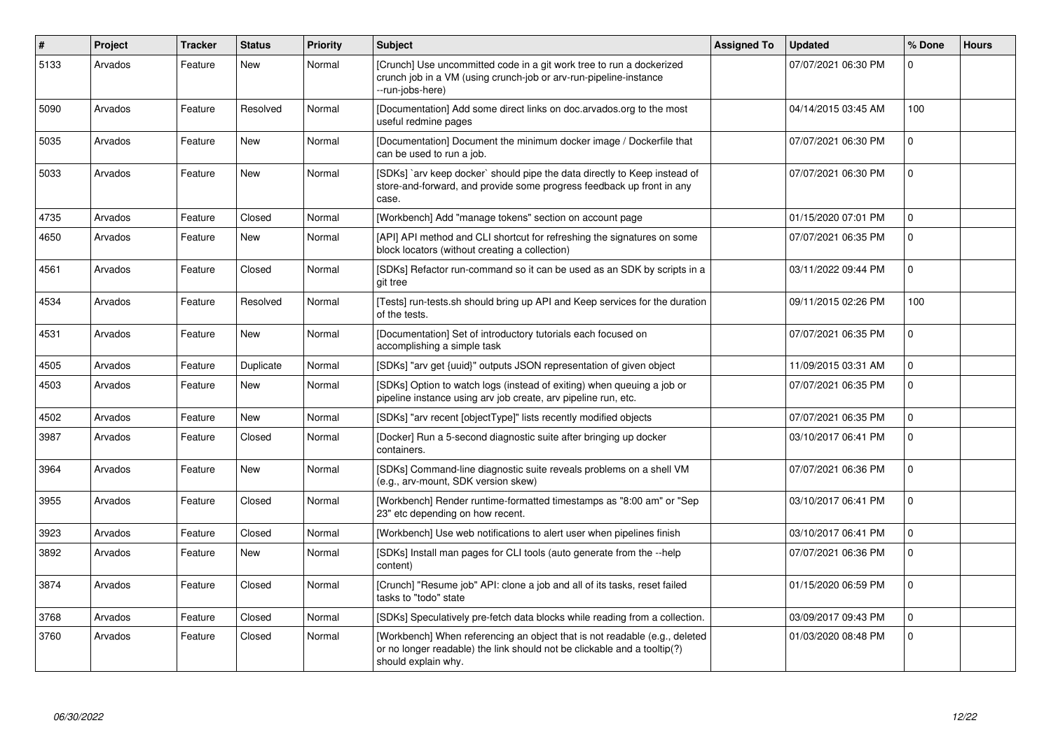| $\pmb{\#}$ | Project | <b>Tracker</b> | <b>Status</b> | <b>Priority</b> | <b>Subject</b>                                                                                                                                                                | <b>Assigned To</b> | <b>Updated</b>      | % Done         | <b>Hours</b> |
|------------|---------|----------------|---------------|-----------------|-------------------------------------------------------------------------------------------------------------------------------------------------------------------------------|--------------------|---------------------|----------------|--------------|
| 5133       | Arvados | Feature        | New           | Normal          | [Crunch] Use uncommitted code in a git work tree to run a dockerized<br>crunch job in a VM (using crunch-job or arv-run-pipeline-instance<br>--run-jobs-here)                 |                    | 07/07/2021 06:30 PM | $\Omega$       |              |
| 5090       | Arvados | Feature        | Resolved      | Normal          | [Documentation] Add some direct links on doc.arvados.org to the most<br>useful redmine pages                                                                                  |                    | 04/14/2015 03:45 AM | 100            |              |
| 5035       | Arvados | Feature        | <b>New</b>    | Normal          | [Documentation] Document the minimum docker image / Dockerfile that<br>can be used to run a job.                                                                              |                    | 07/07/2021 06:30 PM | $\mathbf 0$    |              |
| 5033       | Arvados | Feature        | New           | Normal          | [SDKs] `arv keep docker` should pipe the data directly to Keep instead of<br>store-and-forward, and provide some progress feedback up front in any<br>case.                   |                    | 07/07/2021 06:30 PM | $\mathbf 0$    |              |
| 4735       | Arvados | Feature        | Closed        | Normal          | [Workbench] Add "manage tokens" section on account page                                                                                                                       |                    | 01/15/2020 07:01 PM | $\overline{0}$ |              |
| 4650       | Arvados | Feature        | <b>New</b>    | Normal          | [API] API method and CLI shortcut for refreshing the signatures on some<br>block locators (without creating a collection)                                                     |                    | 07/07/2021 06:35 PM | $\Omega$       |              |
| 4561       | Arvados | Feature        | Closed        | Normal          | [SDKs] Refactor run-command so it can be used as an SDK by scripts in a<br>git tree                                                                                           |                    | 03/11/2022 09:44 PM | $\overline{0}$ |              |
| 4534       | Arvados | Feature        | Resolved      | Normal          | [Tests] run-tests.sh should bring up API and Keep services for the duration<br>of the tests.                                                                                  |                    | 09/11/2015 02:26 PM | 100            |              |
| 4531       | Arvados | Feature        | <b>New</b>    | Normal          | [Documentation] Set of introductory tutorials each focused on<br>accomplishing a simple task                                                                                  |                    | 07/07/2021 06:35 PM | $\Omega$       |              |
| 4505       | Arvados | Feature        | Duplicate     | Normal          | [SDKs] "arv get {uuid}" outputs JSON representation of given object                                                                                                           |                    | 11/09/2015 03:31 AM | $\overline{0}$ |              |
| 4503       | Arvados | Feature        | New           | Normal          | [SDKs] Option to watch logs (instead of exiting) when queuing a job or<br>pipeline instance using arv job create, arv pipeline run, etc.                                      |                    | 07/07/2021 06:35 PM | $\Omega$       |              |
| 4502       | Arvados | Feature        | New           | Normal          | [SDKs] "arv recent [objectType]" lists recently modified objects                                                                                                              |                    | 07/07/2021 06:35 PM | $\overline{0}$ |              |
| 3987       | Arvados | Feature        | Closed        | Normal          | [Docker] Run a 5-second diagnostic suite after bringing up docker<br>containers.                                                                                              |                    | 03/10/2017 06:41 PM | $\Omega$       |              |
| 3964       | Arvados | Feature        | <b>New</b>    | Normal          | [SDKs] Command-line diagnostic suite reveals problems on a shell VM<br>(e.g., arv-mount, SDK version skew)                                                                    |                    | 07/07/2021 06:36 PM | $\overline{0}$ |              |
| 3955       | Arvados | Feature        | Closed        | Normal          | [Workbench] Render runtime-formatted timestamps as "8:00 am" or "Sep<br>23" etc depending on how recent.                                                                      |                    | 03/10/2017 06:41 PM | $\overline{0}$ |              |
| 3923       | Arvados | Feature        | Closed        | Normal          | [Workbench] Use web notifications to alert user when pipelines finish                                                                                                         |                    | 03/10/2017 06:41 PM | $\overline{0}$ |              |
| 3892       | Arvados | Feature        | New           | Normal          | [SDKs] Install man pages for CLI tools (auto generate from the --help<br>content)                                                                                             |                    | 07/07/2021 06:36 PM | $\overline{0}$ |              |
| 3874       | Arvados | Feature        | Closed        | Normal          | [Crunch] "Resume job" API: clone a job and all of its tasks, reset failed<br>tasks to "todo" state                                                                            |                    | 01/15/2020 06:59 PM | $\overline{0}$ |              |
| 3768       | Arvados | Feature        | Closed        | Normal          | [SDKs] Speculatively pre-fetch data blocks while reading from a collection.                                                                                                   |                    | 03/09/2017 09:43 PM | $\mathbf 0$    |              |
| 3760       | Arvados | Feature        | Closed        | Normal          | [Workbench] When referencing an object that is not readable (e.g., deleted<br>or no longer readable) the link should not be clickable and a tooltip(?)<br>should explain why. |                    | 01/03/2020 08:48 PM | $\overline{0}$ |              |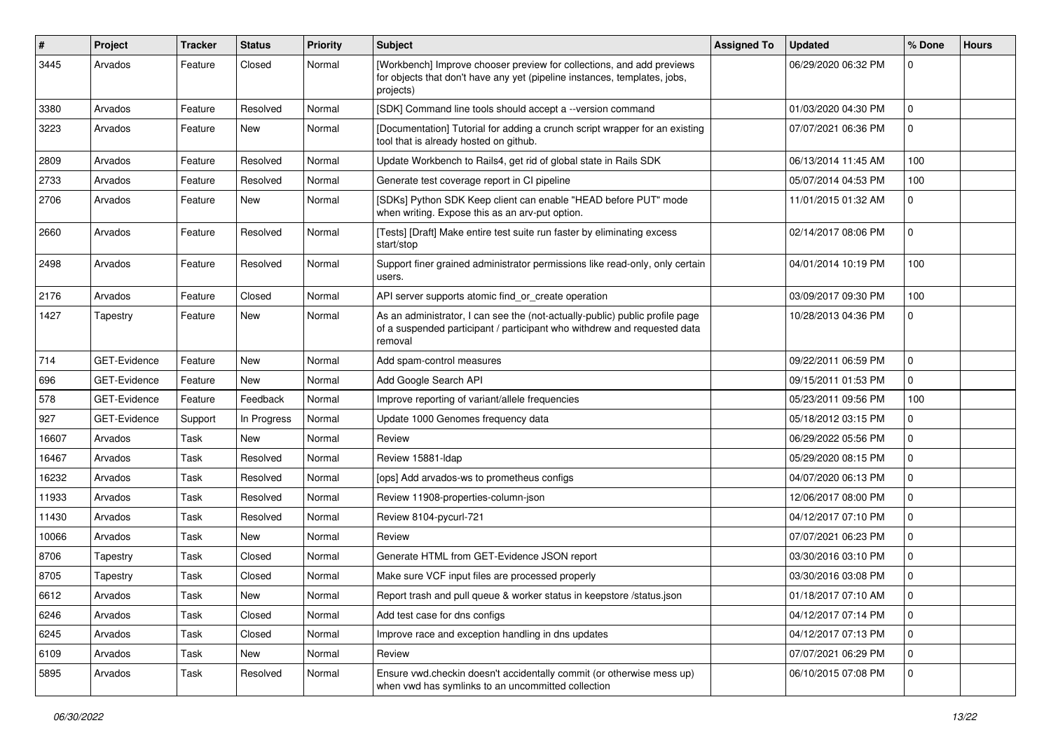| $\#$  | Project             | <b>Tracker</b> | <b>Status</b> | <b>Priority</b> | <b>Subject</b>                                                                                                                                                      | <b>Assigned To</b> | <b>Updated</b>      | % Done      | <b>Hours</b> |
|-------|---------------------|----------------|---------------|-----------------|---------------------------------------------------------------------------------------------------------------------------------------------------------------------|--------------------|---------------------|-------------|--------------|
| 3445  | Arvados             | Feature        | Closed        | Normal          | [Workbench] Improve chooser preview for collections, and add previews<br>for objects that don't have any yet (pipeline instances, templates, jobs,<br>projects)     |                    | 06/29/2020 06:32 PM | $\Omega$    |              |
| 3380  | Arvados             | Feature        | Resolved      | Normal          | [SDK] Command line tools should accept a --version command                                                                                                          |                    | 01/03/2020 04:30 PM | $\Omega$    |              |
| 3223  | Arvados             | Feature        | New           | Normal          | [Documentation] Tutorial for adding a crunch script wrapper for an existing<br>tool that is already hosted on github.                                               |                    | 07/07/2021 06:36 PM | $\Omega$    |              |
| 2809  | Arvados             | Feature        | Resolved      | Normal          | Update Workbench to Rails4, get rid of global state in Rails SDK                                                                                                    |                    | 06/13/2014 11:45 AM | 100         |              |
| 2733  | Arvados             | Feature        | Resolved      | Normal          | Generate test coverage report in CI pipeline                                                                                                                        |                    | 05/07/2014 04:53 PM | 100         |              |
| 2706  | Arvados             | Feature        | New           | Normal          | [SDKs] Python SDK Keep client can enable "HEAD before PUT" mode<br>when writing. Expose this as an arv-put option.                                                  |                    | 11/01/2015 01:32 AM | $\Omega$    |              |
| 2660  | Arvados             | Feature        | Resolved      | Normal          | [Tests] [Draft] Make entire test suite run faster by eliminating excess<br>start/stop                                                                               |                    | 02/14/2017 08:06 PM | $\mathbf 0$ |              |
| 2498  | Arvados             | Feature        | Resolved      | Normal          | Support finer grained administrator permissions like read-only, only certain<br>users.                                                                              |                    | 04/01/2014 10:19 PM | 100         |              |
| 2176  | Arvados             | Feature        | Closed        | Normal          | API server supports atomic find_or_create operation                                                                                                                 |                    | 03/09/2017 09:30 PM | 100         |              |
| 1427  | Tapestry            | Feature        | New           | Normal          | As an administrator, I can see the (not-actually-public) public profile page<br>of a suspended participant / participant who withdrew and requested data<br>removal |                    | 10/28/2013 04:36 PM | $\Omega$    |              |
| 714   | <b>GET-Evidence</b> | Feature        | New           | Normal          | Add spam-control measures                                                                                                                                           |                    | 09/22/2011 06:59 PM | $\mathbf 0$ |              |
| 696   | GET-Evidence        | Feature        | New           | Normal          | Add Google Search API                                                                                                                                               |                    | 09/15/2011 01:53 PM | $\Omega$    |              |
| 578   | GET-Evidence        | Feature        | Feedback      | Normal          | Improve reporting of variant/allele frequencies                                                                                                                     |                    | 05/23/2011 09:56 PM | 100         |              |
| 927   | GET-Evidence        | Support        | In Progress   | Normal          | Update 1000 Genomes frequency data                                                                                                                                  |                    | 05/18/2012 03:15 PM | $\Omega$    |              |
| 16607 | Arvados             | Task           | New           | Normal          | Review                                                                                                                                                              |                    | 06/29/2022 05:56 PM | $\Omega$    |              |
| 16467 | Arvados             | Task           | Resolved      | Normal          | Review 15881-Idap                                                                                                                                                   |                    | 05/29/2020 08:15 PM | $\Omega$    |              |
| 16232 | Arvados             | Task           | Resolved      | Normal          | [ops] Add arvados-ws to prometheus configs                                                                                                                          |                    | 04/07/2020 06:13 PM | $\Omega$    |              |
| 11933 | Arvados             | Task           | Resolved      | Normal          | Review 11908-properties-column-json                                                                                                                                 |                    | 12/06/2017 08:00 PM | $\Omega$    |              |
| 11430 | Arvados             | Task           | Resolved      | Normal          | Review 8104-pycurl-721                                                                                                                                              |                    | 04/12/2017 07:10 PM | $\mathbf 0$ |              |
| 10066 | Arvados             | Task           | New           | Normal          | Review                                                                                                                                                              |                    | 07/07/2021 06:23 PM | $\Omega$    |              |
| 8706  | Tapestry            | Task           | Closed        | Normal          | Generate HTML from GET-Evidence JSON report                                                                                                                         |                    | 03/30/2016 03:10 PM | $\Omega$    |              |
| 8705  | Tapestry            | Task           | Closed        | Normal          | Make sure VCF input files are processed properly                                                                                                                    |                    | 03/30/2016 03:08 PM | $\Omega$    |              |
| 6612  | Arvados             | Task           | New           | Normal          | Report trash and pull queue & worker status in keepstore /status.json                                                                                               |                    | 01/18/2017 07:10 AM |             |              |
| 6246  | Arvados             | Task           | Closed        | Normal          | Add test case for dns configs                                                                                                                                       |                    | 04/12/2017 07:14 PM | $\mathbf 0$ |              |
| 6245  | Arvados             | Task           | Closed        | Normal          | Improve race and exception handling in dns updates                                                                                                                  |                    | 04/12/2017 07:13 PM | $\Omega$    |              |
| 6109  | Arvados             | Task           | New           | Normal          | Review                                                                                                                                                              |                    | 07/07/2021 06:29 PM | $\mathbf 0$ |              |
| 5895  | Arvados             | Task           | Resolved      | Normal          | Ensure vwd.checkin doesn't accidentally commit (or otherwise mess up)<br>when vwd has symlinks to an uncommitted collection                                         |                    | 06/10/2015 07:08 PM | $\mathbf 0$ |              |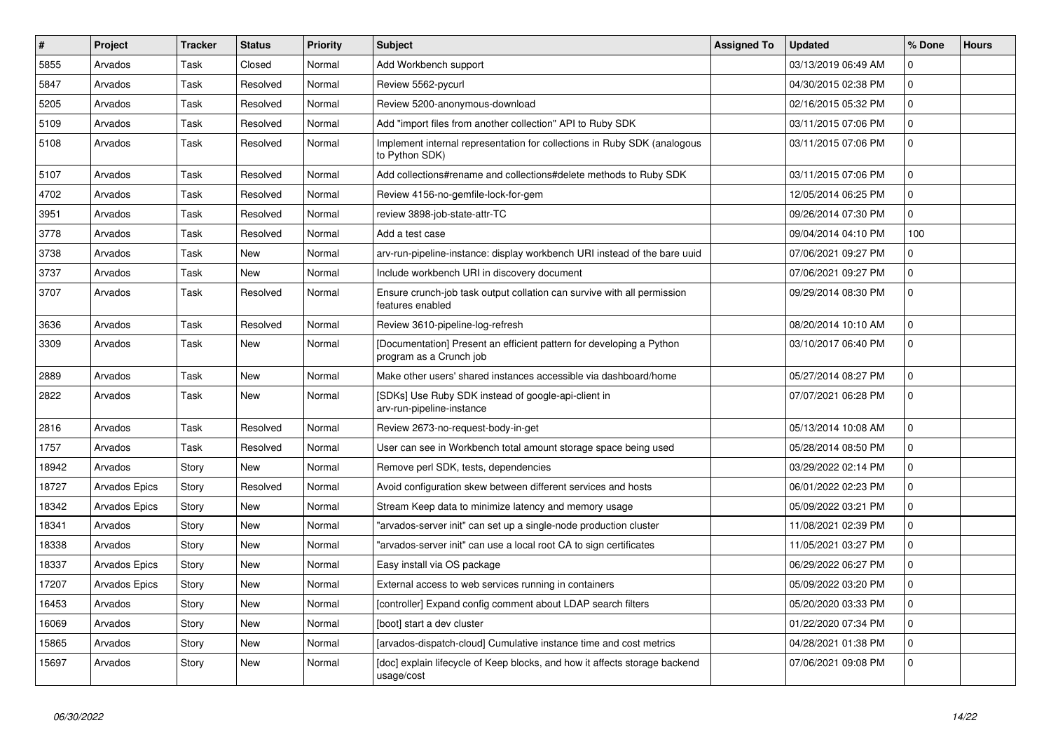| $\vert$ # | Project              | <b>Tracker</b> | <b>Status</b> | Priority | <b>Subject</b>                                                                                  | <b>Assigned To</b> | <b>Updated</b>      | % Done         | <b>Hours</b> |
|-----------|----------------------|----------------|---------------|----------|-------------------------------------------------------------------------------------------------|--------------------|---------------------|----------------|--------------|
| 5855      | Arvados              | Task           | Closed        | Normal   | Add Workbench support                                                                           |                    | 03/13/2019 06:49 AM | $\mathbf 0$    |              |
| 5847      | Arvados              | Task           | Resolved      | Normal   | Review 5562-pycurl                                                                              |                    | 04/30/2015 02:38 PM | $\overline{0}$ |              |
| 5205      | Arvados              | Task           | Resolved      | Normal   | Review 5200-anonymous-download                                                                  |                    | 02/16/2015 05:32 PM | $\overline{0}$ |              |
| 5109      | Arvados              | Task           | Resolved      | Normal   | Add "import files from another collection" API to Ruby SDK                                      |                    | 03/11/2015 07:06 PM | $\Omega$       |              |
| 5108      | Arvados              | Task           | Resolved      | Normal   | Implement internal representation for collections in Ruby SDK (analogous<br>to Python SDK)      |                    | 03/11/2015 07:06 PM | $\overline{0}$ |              |
| 5107      | Arvados              | Task           | Resolved      | Normal   | Add collections#rename and collections#delete methods to Ruby SDK                               |                    | 03/11/2015 07:06 PM | $\Omega$       |              |
| 4702      | Arvados              | Task           | Resolved      | Normal   | Review 4156-no-gemfile-lock-for-gem                                                             |                    | 12/05/2014 06:25 PM | $\mathbf 0$    |              |
| 3951      | Arvados              | Task           | Resolved      | Normal   | review 3898-job-state-attr-TC                                                                   |                    | 09/26/2014 07:30 PM | $\mathbf{0}$   |              |
| 3778      | Arvados              | Task           | Resolved      | Normal   | Add a test case                                                                                 |                    | 09/04/2014 04:10 PM | 100            |              |
| 3738      | Arvados              | Task           | New           | Normal   | arv-run-pipeline-instance: display workbench URI instead of the bare uuid                       |                    | 07/06/2021 09:27 PM | $\Omega$       |              |
| 3737      | Arvados              | Task           | New           | Normal   | Include workbench URI in discovery document                                                     |                    | 07/06/2021 09:27 PM | $\overline{0}$ |              |
| 3707      | Arvados              | Task           | Resolved      | Normal   | Ensure crunch-job task output collation can survive with all permission<br>features enabled     |                    | 09/29/2014 08:30 PM | $\mathbf 0$    |              |
| 3636      | Arvados              | Task           | Resolved      | Normal   | Review 3610-pipeline-log-refresh                                                                |                    | 08/20/2014 10:10 AM | $\mathbf 0$    |              |
| 3309      | Arvados              | Task           | New           | Normal   | [Documentation] Present an efficient pattern for developing a Python<br>program as a Crunch job |                    | 03/10/2017 06:40 PM | $\Omega$       |              |
| 2889      | Arvados              | Task           | New           | Normal   | Make other users' shared instances accessible via dashboard/home                                |                    | 05/27/2014 08:27 PM | $\mathbf{0}$   |              |
| 2822      | Arvados              | Task           | New           | Normal   | [SDKs] Use Ruby SDK instead of google-api-client in<br>arv-run-pipeline-instance                |                    | 07/07/2021 06:28 PM | $\overline{0}$ |              |
| 2816      | Arvados              | Task           | Resolved      | Normal   | Review 2673-no-request-body-in-get                                                              |                    | 05/13/2014 10:08 AM | $\Omega$       |              |
| 1757      | Arvados              | Task           | Resolved      | Normal   | User can see in Workbench total amount storage space being used                                 |                    | 05/28/2014 08:50 PM | $\overline{0}$ |              |
| 18942     | Arvados              | Story          | New           | Normal   | Remove perl SDK, tests, dependencies                                                            |                    | 03/29/2022 02:14 PM | $\mathbf{0}$   |              |
| 18727     | <b>Arvados Epics</b> | Story          | Resolved      | Normal   | Avoid configuration skew between different services and hosts                                   |                    | 06/01/2022 02:23 PM | $\overline{0}$ |              |
| 18342     | <b>Arvados Epics</b> | Story          | New           | Normal   | Stream Keep data to minimize latency and memory usage                                           |                    | 05/09/2022 03:21 PM | $\mathbf 0$    |              |
| 18341     | Arvados              | Story          | New           | Normal   | "arvados-server init" can set up a single-node production cluster                               |                    | 11/08/2021 02:39 PM | $\mathbf 0$    |              |
| 18338     | Arvados              | Story          | New           | Normal   | "arvados-server init" can use a local root CA to sign certificates                              |                    | 11/05/2021 03:27 PM | $\mathbf 0$    |              |
| 18337     | <b>Arvados Epics</b> | Story          | New           | Normal   | Easy install via OS package                                                                     |                    | 06/29/2022 06:27 PM | $\overline{0}$ |              |
| 17207     | <b>Arvados Epics</b> | Story          | New           | Normal   | External access to web services running in containers                                           |                    | 05/09/2022 03:20 PM | $\mathbf 0$    |              |
| 16453     | Arvados              | Story          | New           | Normal   | [controller] Expand config comment about LDAP search filters                                    |                    | 05/20/2020 03:33 PM | $\overline{0}$ |              |
| 16069     | Arvados              | Story          | New           | Normal   | [boot] start a dev cluster                                                                      |                    | 01/22/2020 07:34 PM | $\overline{0}$ |              |
| 15865     | Arvados              | Story          | New           | Normal   | [arvados-dispatch-cloud] Cumulative instance time and cost metrics                              |                    | 04/28/2021 01:38 PM | $\overline{0}$ |              |
| 15697     | Arvados              | Story          | New           | Normal   | [doc] explain lifecycle of Keep blocks, and how it affects storage backend<br>usage/cost        |                    | 07/06/2021 09:08 PM | $\Omega$       |              |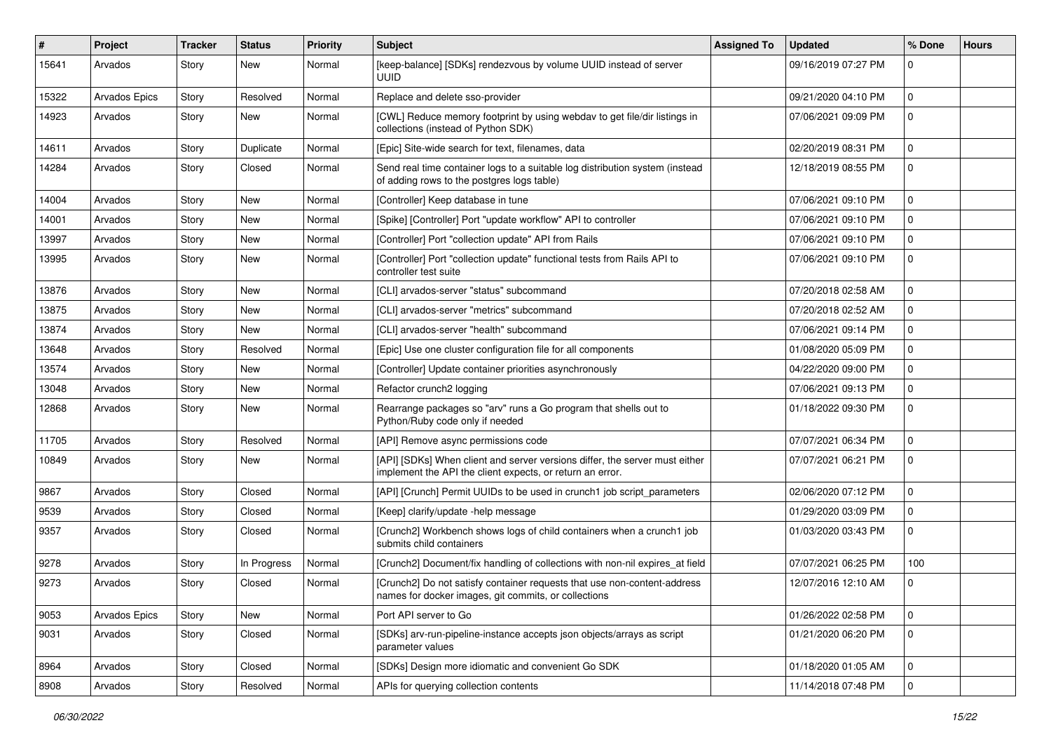| ∦     | Project              | <b>Tracker</b> | <b>Status</b> | <b>Priority</b> | Subject                                                                                                                                  | <b>Assigned To</b> | <b>Updated</b>      | % Done         | <b>Hours</b> |
|-------|----------------------|----------------|---------------|-----------------|------------------------------------------------------------------------------------------------------------------------------------------|--------------------|---------------------|----------------|--------------|
| 15641 | Arvados              | Story          | New           | Normal          | [keep-balance] [SDKs] rendezvous by volume UUID instead of server<br>uuid                                                                |                    | 09/16/2019 07:27 PM | $\Omega$       |              |
| 15322 | <b>Arvados Epics</b> | Story          | Resolved      | Normal          | Replace and delete sso-provider                                                                                                          |                    | 09/21/2020 04:10 PM | $\overline{0}$ |              |
| 14923 | Arvados              | Story          | New           | Normal          | [CWL] Reduce memory footprint by using webdav to get file/dir listings in<br>collections (instead of Python SDK)                         |                    | 07/06/2021 09:09 PM | $\overline{0}$ |              |
| 14611 | Arvados              | Story          | Duplicate     | Normal          | [Epic] Site-wide search for text, filenames, data                                                                                        |                    | 02/20/2019 08:31 PM | $\mathbf 0$    |              |
| 14284 | Arvados              | Story          | Closed        | Normal          | Send real time container logs to a suitable log distribution system (instead<br>of adding rows to the postgres logs table)               |                    | 12/18/2019 08:55 PM | $\overline{0}$ |              |
| 14004 | Arvados              | Story          | New           | Normal          | [Controller] Keep database in tune                                                                                                       |                    | 07/06/2021 09:10 PM | $\mathbf 0$    |              |
| 14001 | Arvados              | Story          | New           | Normal          | [Spike] [Controller] Port "update workflow" API to controller                                                                            |                    | 07/06/2021 09:10 PM | $\overline{0}$ |              |
| 13997 | Arvados              | Story          | New           | Normal          | [Controller] Port "collection update" API from Rails                                                                                     |                    | 07/06/2021 09:10 PM | $\overline{0}$ |              |
| 13995 | Arvados              | Story          | New           | Normal          | [Controller] Port "collection update" functional tests from Rails API to<br>controller test suite                                        |                    | 07/06/2021 09:10 PM | $\overline{0}$ |              |
| 13876 | Arvados              | Story          | New           | Normal          | [CLI] arvados-server "status" subcommand                                                                                                 |                    | 07/20/2018 02:58 AM | $\mathbf 0$    |              |
| 13875 | Arvados              | Story          | New           | Normal          | [CLI] arvados-server "metrics" subcommand                                                                                                |                    | 07/20/2018 02:52 AM | $\overline{0}$ |              |
| 13874 | Arvados              | Story          | New           | Normal          | [CLI] arvados-server "health" subcommand                                                                                                 |                    | 07/06/2021 09:14 PM | $\overline{0}$ |              |
| 13648 | Arvados              | Story          | Resolved      | Normal          | [Epic] Use one cluster configuration file for all components                                                                             |                    | 01/08/2020 05:09 PM | $\Omega$       |              |
| 13574 | Arvados              | Story          | New           | Normal          | [Controller] Update container priorities asynchronously                                                                                  |                    | 04/22/2020 09:00 PM | $\mathbf 0$    |              |
| 13048 | Arvados              | Story          | New           | Normal          | Refactor crunch2 logging                                                                                                                 |                    | 07/06/2021 09:13 PM | $\overline{0}$ |              |
| 12868 | Arvados              | Story          | New           | Normal          | Rearrange packages so "arv" runs a Go program that shells out to<br>Python/Ruby code only if needed                                      |                    | 01/18/2022 09:30 PM | $\overline{0}$ |              |
| 11705 | Arvados              | Story          | Resolved      | Normal          | [API] Remove async permissions code                                                                                                      |                    | 07/07/2021 06:34 PM | $\Omega$       |              |
| 10849 | Arvados              | Story          | New           | Normal          | [API] [SDKs] When client and server versions differ, the server must either<br>implement the API the client expects, or return an error. |                    | 07/07/2021 06:21 PM | $\overline{0}$ |              |
| 9867  | Arvados              | Story          | Closed        | Normal          | [API] [Crunch] Permit UUIDs to be used in crunch1 job script_parameters                                                                  |                    | 02/06/2020 07:12 PM | $\Omega$       |              |
| 9539  | Arvados              | Story          | Closed        | Normal          | [Keep] clarify/update -help message                                                                                                      |                    | 01/29/2020 03:09 PM | $\mathbf 0$    |              |
| 9357  | Arvados              | Story          | Closed        | Normal          | [Crunch2] Workbench shows logs of child containers when a crunch1 job<br>submits child containers                                        |                    | 01/03/2020 03:43 PM | $\overline{0}$ |              |
| 9278  | Arvados              | Story          | In Progress   | Normal          | [Crunch2] Document/fix handling of collections with non-nil expires_at field                                                             |                    | 07/07/2021 06:25 PM | 100            |              |
| 9273  | Arvados              | Story          | Closed        | Normal          | [Crunch2] Do not satisfy container requests that use non-content-address<br>names for docker images, git commits, or collections         |                    | 12/07/2016 12:10 AM | $\mathbf 0$    |              |
| 9053  | Arvados Epics        | Story          | New           | Normal          | Port API server to Go                                                                                                                    |                    | 01/26/2022 02:58 PM | $\mathbf 0$    |              |
| 9031  | Arvados              | Story          | Closed        | Normal          | [SDKs] arv-run-pipeline-instance accepts json objects/arrays as script<br>parameter values                                               |                    | 01/21/2020 06:20 PM | $\mathbf 0$    |              |
| 8964  | Arvados              | Story          | Closed        | Normal          | [SDKs] Design more idiomatic and convenient Go SDK                                                                                       |                    | 01/18/2020 01:05 AM | $\overline{0}$ |              |
| 8908  | Arvados              | Story          | Resolved      | Normal          | APIs for querying collection contents                                                                                                    |                    | 11/14/2018 07:48 PM | $\overline{0}$ |              |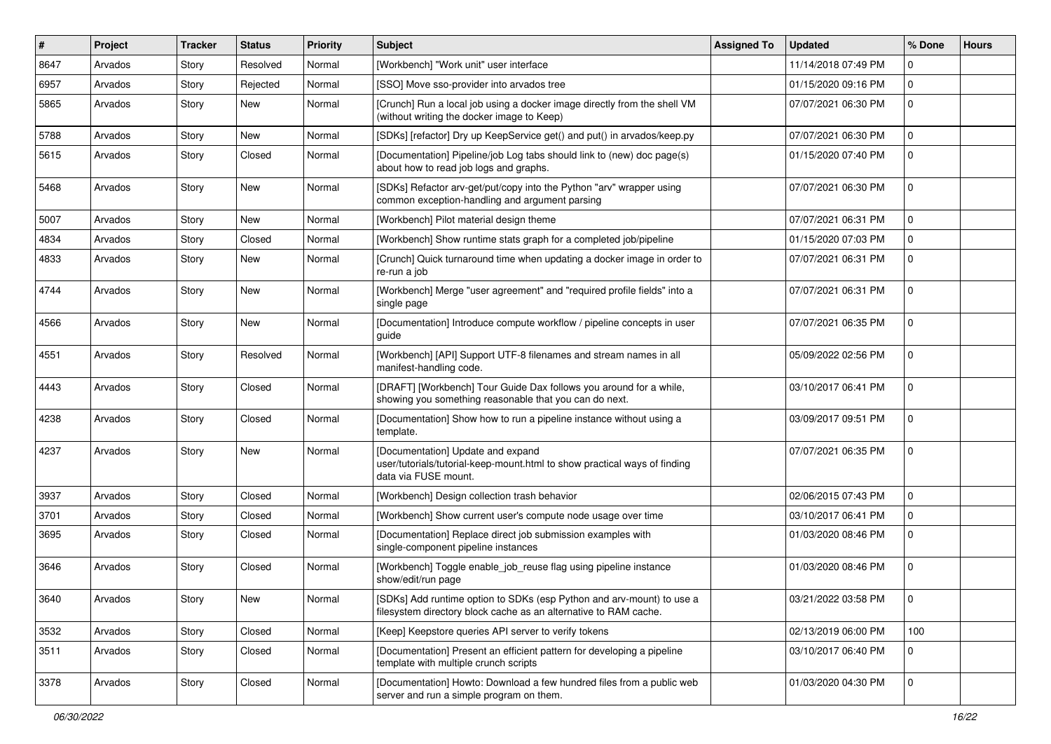| $\vert$ # | Project | <b>Tracker</b> | <b>Status</b> | <b>Priority</b> | Subject                                                                                                                                   | <b>Assigned To</b> | <b>Updated</b>      | % Done         | <b>Hours</b> |
|-----------|---------|----------------|---------------|-----------------|-------------------------------------------------------------------------------------------------------------------------------------------|--------------------|---------------------|----------------|--------------|
| 8647      | Arvados | Story          | Resolved      | Normal          | [Workbench] "Work unit" user interface                                                                                                    |                    | 11/14/2018 07:49 PM | $\Omega$       |              |
| 6957      | Arvados | Story          | Rejected      | Normal          | [SSO] Move sso-provider into arvados tree                                                                                                 |                    | 01/15/2020 09:16 PM | $\mathbf 0$    |              |
| 5865      | Arvados | Story          | New           | Normal          | [Crunch] Run a local job using a docker image directly from the shell VM<br>(without writing the docker image to Keep)                    |                    | 07/07/2021 06:30 PM | $\mathbf 0$    |              |
| 5788      | Arvados | Story          | New           | Normal          | [SDKs] [refactor] Dry up KeepService get() and put() in arvados/keep.py                                                                   |                    | 07/07/2021 06:30 PM | $\overline{0}$ |              |
| 5615      | Arvados | Story          | Closed        | Normal          | [Documentation] Pipeline/job Log tabs should link to (new) doc page(s)<br>about how to read job logs and graphs.                          |                    | 01/15/2020 07:40 PM | $\mathbf 0$    |              |
| 5468      | Arvados | Story          | New           | Normal          | [SDKs] Refactor arv-get/put/copy into the Python "arv" wrapper using<br>common exception-handling and argument parsing                    |                    | 07/07/2021 06:30 PM | $\overline{0}$ |              |
| 5007      | Arvados | Story          | New           | Normal          | [Workbench] Pilot material design theme                                                                                                   |                    | 07/07/2021 06:31 PM | $\overline{0}$ |              |
| 4834      | Arvados | Story          | Closed        | Normal          | [Workbench] Show runtime stats graph for a completed job/pipeline                                                                         |                    | 01/15/2020 07:03 PM | $\overline{0}$ |              |
| 4833      | Arvados | Story          | New           | Normal          | [Crunch] Quick turnaround time when updating a docker image in order to<br>re-run a job                                                   |                    | 07/07/2021 06:31 PM | $\overline{0}$ |              |
| 4744      | Arvados | Story          | New           | Normal          | [Workbench] Merge "user agreement" and "required profile fields" into a<br>single page                                                    |                    | 07/07/2021 06:31 PM | $\mathbf 0$    |              |
| 4566      | Arvados | Story          | New           | Normal          | [Documentation] Introduce compute workflow / pipeline concepts in user<br>guide                                                           |                    | 07/07/2021 06:35 PM | $\overline{0}$ |              |
| 4551      | Arvados | Story          | Resolved      | Normal          | [Workbench] [API] Support UTF-8 filenames and stream names in all<br>manifest-handling code.                                              |                    | 05/09/2022 02:56 PM | $\overline{0}$ |              |
| 4443      | Arvados | Story          | Closed        | Normal          | [DRAFT] [Workbench] Tour Guide Dax follows you around for a while,<br>showing you something reasonable that you can do next.              |                    | 03/10/2017 06:41 PM | $\Omega$       |              |
| 4238      | Arvados | Story          | Closed        | Normal          | [Documentation] Show how to run a pipeline instance without using a<br>template.                                                          |                    | 03/09/2017 09:51 PM | $\overline{0}$ |              |
| 4237      | Arvados | Story          | New           | Normal          | [Documentation] Update and expand<br>user/tutorials/tutorial-keep-mount.html to show practical ways of finding<br>data via FUSE mount.    |                    | 07/07/2021 06:35 PM | $\overline{0}$ |              |
| 3937      | Arvados | Story          | Closed        | Normal          | [Workbench] Design collection trash behavior                                                                                              |                    | 02/06/2015 07:43 PM | $\overline{0}$ |              |
| 3701      | Arvados | Story          | Closed        | Normal          | [Workbench] Show current user's compute node usage over time                                                                              |                    | 03/10/2017 06:41 PM | $\mathbf 0$    |              |
| 3695      | Arvados | Story          | Closed        | Normal          | [Documentation] Replace direct job submission examples with<br>single-component pipeline instances                                        |                    | 01/03/2020 08:46 PM | $\overline{0}$ |              |
| 3646      | Arvados | Story          | Closed        | Normal          | [Workbench] Toggle enable_job_reuse flag using pipeline instance<br>show/edit/run page                                                    |                    | 01/03/2020 08:46 PM | $\mathbf 0$    |              |
| 3640      | Arvados | Story          | New           | Normal          | [SDKs] Add runtime option to SDKs (esp Python and arv-mount) to use a<br>filesystem directory block cache as an alternative to RAM cache. |                    | 03/21/2022 03:58 PM | $\overline{0}$ |              |
| 3532      | Arvados | Story          | Closed        | Normal          | [Keep] Keepstore queries API server to verify tokens                                                                                      |                    | 02/13/2019 06:00 PM | 100            |              |
| 3511      | Arvados | Story          | Closed        | Normal          | [Documentation] Present an efficient pattern for developing a pipeline<br>template with multiple crunch scripts                           |                    | 03/10/2017 06:40 PM | $\mathbf 0$    |              |
| 3378      | Arvados | Story          | Closed        | Normal          | [Documentation] Howto: Download a few hundred files from a public web<br>server and run a simple program on them.                         |                    | 01/03/2020 04:30 PM | $\overline{0}$ |              |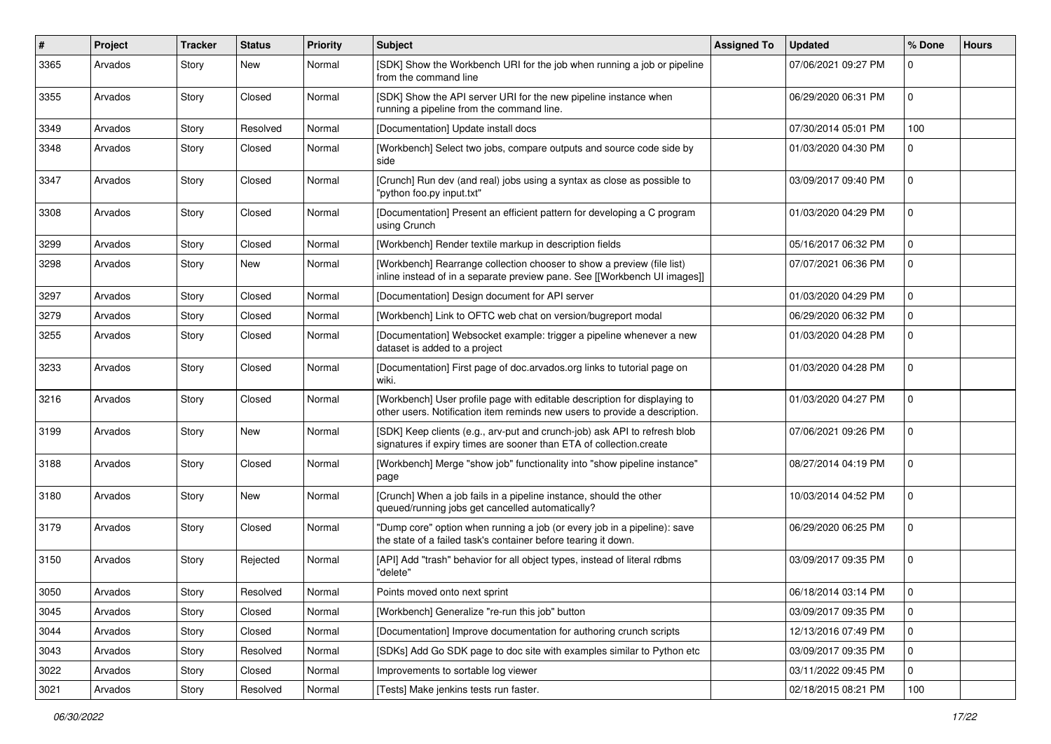| $\pmb{\#}$ | Project | <b>Tracker</b> | <b>Status</b> | <b>Priority</b> | Subject                                                                                                                                                 | <b>Assigned To</b> | <b>Updated</b>      | % Done         | <b>Hours</b> |
|------------|---------|----------------|---------------|-----------------|---------------------------------------------------------------------------------------------------------------------------------------------------------|--------------------|---------------------|----------------|--------------|
| 3365       | Arvados | Story          | New           | Normal          | [SDK] Show the Workbench URI for the job when running a job or pipeline<br>from the command line                                                        |                    | 07/06/2021 09:27 PM | $\Omega$       |              |
| 3355       | Arvados | Story          | Closed        | Normal          | [SDK] Show the API server URI for the new pipeline instance when<br>running a pipeline from the command line.                                           |                    | 06/29/2020 06:31 PM | $\mathbf 0$    |              |
| 3349       | Arvados | Story          | Resolved      | Normal          | [Documentation] Update install docs                                                                                                                     |                    | 07/30/2014 05:01 PM | 100            |              |
| 3348       | Arvados | Story          | Closed        | Normal          | [Workbench] Select two jobs, compare outputs and source code side by<br>side                                                                            |                    | 01/03/2020 04:30 PM | $\mathbf 0$    |              |
| 3347       | Arvados | Story          | Closed        | Normal          | [Crunch] Run dev (and real) jobs using a syntax as close as possible to<br>"python foo.py input.txt"                                                    |                    | 03/09/2017 09:40 PM | $\overline{0}$ |              |
| 3308       | Arvados | Story          | Closed        | Normal          | [Documentation] Present an efficient pattern for developing a C program<br>using Crunch                                                                 |                    | 01/03/2020 04:29 PM | $\mathbf 0$    |              |
| 3299       | Arvados | Story          | Closed        | Normal          | [Workbench] Render textile markup in description fields                                                                                                 |                    | 05/16/2017 06:32 PM | $\Omega$       |              |
| 3298       | Arvados | Story          | New           | Normal          | [Workbench] Rearrange collection chooser to show a preview (file list)<br>inline instead of in a separate preview pane. See [[Workbench UI images]]     |                    | 07/07/2021 06:36 PM | $\overline{0}$ |              |
| 3297       | Arvados | Story          | Closed        | Normal          | [Documentation] Design document for API server                                                                                                          |                    | 01/03/2020 04:29 PM | $\overline{0}$ |              |
| 3279       | Arvados | Story          | Closed        | Normal          | [Workbench] Link to OFTC web chat on version/bugreport modal                                                                                            |                    | 06/29/2020 06:32 PM | $\mathbf 0$    |              |
| 3255       | Arvados | Story          | Closed        | Normal          | [Documentation] Websocket example: trigger a pipeline whenever a new<br>dataset is added to a project                                                   |                    | 01/03/2020 04:28 PM | $\Omega$       |              |
| 3233       | Arvados | Story          | Closed        | Normal          | [Documentation] First page of doc.arvados.org links to tutorial page on<br>wiki.                                                                        |                    | 01/03/2020 04:28 PM | $\mathbf{0}$   |              |
| 3216       | Arvados | Story          | Closed        | Normal          | [Workbench] User profile page with editable description for displaying to<br>other users. Notification item reminds new users to provide a description. |                    | 01/03/2020 04:27 PM | $\overline{0}$ |              |
| 3199       | Arvados | Story          | New           | Normal          | [SDK] Keep clients (e.g., arv-put and crunch-job) ask API to refresh blob<br>signatures if expiry times are sooner than ETA of collection.create        |                    | 07/06/2021 09:26 PM | $\Omega$       |              |
| 3188       | Arvados | Story          | Closed        | Normal          | [Workbench] Merge "show job" functionality into "show pipeline instance"<br>page                                                                        |                    | 08/27/2014 04:19 PM | $\mathbf 0$    |              |
| 3180       | Arvados | Story          | New           | Normal          | [Crunch] When a job fails in a pipeline instance, should the other<br>queued/running jobs get cancelled automatically?                                  |                    | 10/03/2014 04:52 PM | $\mathbf 0$    |              |
| 3179       | Arvados | Story          | Closed        | Normal          | "Dump core" option when running a job (or every job in a pipeline): save<br>the state of a failed task's container before tearing it down.              |                    | 06/29/2020 06:25 PM | $\overline{0}$ |              |
| 3150       | Arvados | Story          | Rejected      | Normal          | [API] Add "trash" behavior for all object types, instead of literal rdbms<br>"delete"                                                                   |                    | 03/09/2017 09:35 PM | $\overline{0}$ |              |
| 3050       | Arvados | Story          | Resolved      | Normal          | Points moved onto next sprint                                                                                                                           |                    | 06/18/2014 03:14 PM | $\mathbf 0$    |              |
| 3045       | Arvados | Story          | Closed        | Normal          | [Workbench] Generalize "re-run this job" button                                                                                                         |                    | 03/09/2017 09:35 PM | $\mathbf 0$    |              |
| 3044       | Arvados | Story          | Closed        | Normal          | [Documentation] Improve documentation for authoring crunch scripts                                                                                      |                    | 12/13/2016 07:49 PM | $\mathbf 0$    |              |
| 3043       | Arvados | Story          | Resolved      | Normal          | [SDKs] Add Go SDK page to doc site with examples similar to Python etc                                                                                  |                    | 03/09/2017 09:35 PM | 0              |              |
| 3022       | Arvados | Story          | Closed        | Normal          | Improvements to sortable log viewer                                                                                                                     |                    | 03/11/2022 09:45 PM | $\mathbf 0$    |              |
| 3021       | Arvados | Story          | Resolved      | Normal          | [Tests] Make jenkins tests run faster.                                                                                                                  |                    | 02/18/2015 08:21 PM | 100            |              |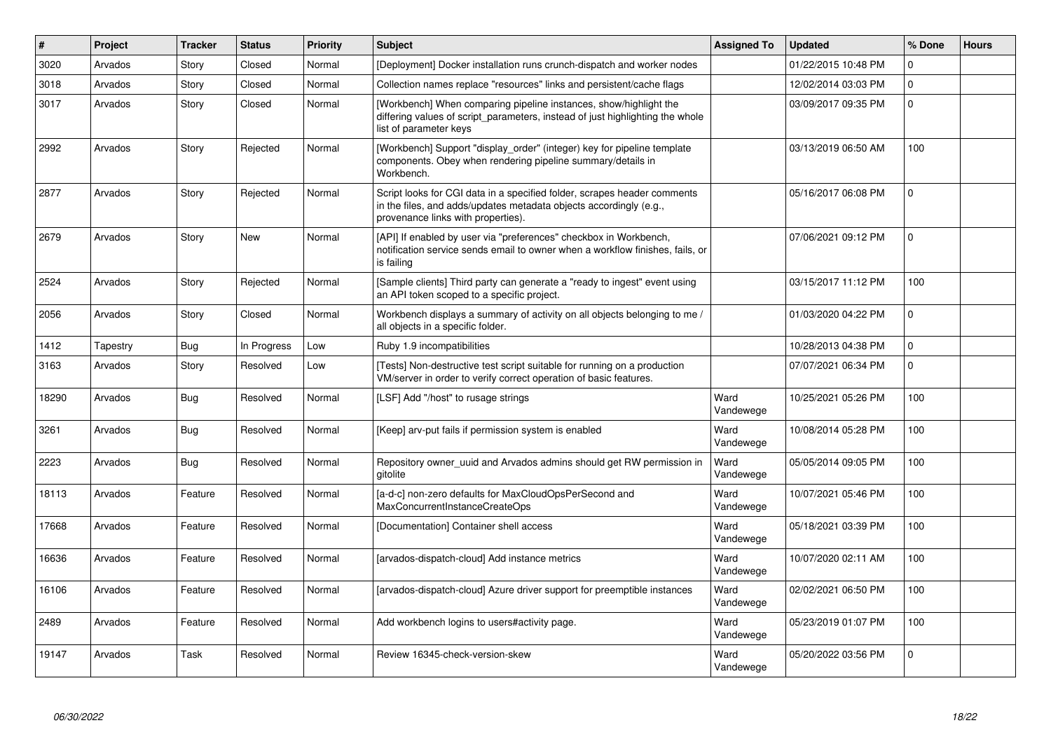| $\vert$ # | Project  | <b>Tracker</b> | <b>Status</b> | <b>Priority</b> | <b>Subject</b>                                                                                                                                                                       | <b>Assigned To</b> | <b>Updated</b>      | % Done         | <b>Hours</b> |
|-----------|----------|----------------|---------------|-----------------|--------------------------------------------------------------------------------------------------------------------------------------------------------------------------------------|--------------------|---------------------|----------------|--------------|
| 3020      | Arvados  | Story          | Closed        | Normal          | [Deployment] Docker installation runs crunch-dispatch and worker nodes                                                                                                               |                    | 01/22/2015 10:48 PM | $\Omega$       |              |
| 3018      | Arvados  | Story          | Closed        | Normal          | Collection names replace "resources" links and persistent/cache flags                                                                                                                |                    | 12/02/2014 03:03 PM | $\mathbf 0$    |              |
| 3017      | Arvados  | Story          | Closed        | Normal          | [Workbench] When comparing pipeline instances, show/highlight the<br>differing values of script_parameters, instead of just highlighting the whole<br>list of parameter keys         |                    | 03/09/2017 09:35 PM | $\Omega$       |              |
| 2992      | Arvados  | Story          | Rejected      | Normal          | [Workbench] Support "display_order" (integer) key for pipeline template<br>components. Obey when rendering pipeline summary/details in<br>Workbench.                                 |                    | 03/13/2019 06:50 AM | 100            |              |
| 2877      | Arvados  | Story          | Rejected      | Normal          | Script looks for CGI data in a specified folder, scrapes header comments<br>in the files, and adds/updates metadata objects accordingly (e.g.,<br>provenance links with properties). |                    | 05/16/2017 06:08 PM | $\Omega$       |              |
| 2679      | Arvados  | Story          | New           | Normal          | [API] If enabled by user via "preferences" checkbox in Workbench,<br>notification service sends email to owner when a workflow finishes, fails, or<br>is failing                     |                    | 07/06/2021 09:12 PM | $\overline{0}$ |              |
| 2524      | Arvados  | Story          | Rejected      | Normal          | [Sample clients] Third party can generate a "ready to ingest" event using<br>an API token scoped to a specific project.                                                              |                    | 03/15/2017 11:12 PM | 100            |              |
| 2056      | Arvados  | Story          | Closed        | Normal          | Workbench displays a summary of activity on all objects belonging to me /<br>all objects in a specific folder.                                                                       |                    | 01/03/2020 04:22 PM | $\pmb{0}$      |              |
| 1412      | Tapestry | <b>Bug</b>     | In Progress   | Low             | Ruby 1.9 incompatibilities                                                                                                                                                           |                    | 10/28/2013 04:38 PM | $\overline{0}$ |              |
| 3163      | Arvados  | Story          | Resolved      | Low             | [Tests] Non-destructive test script suitable for running on a production<br>VM/server in order to verify correct operation of basic features.                                        |                    | 07/07/2021 06:34 PM | $\mathbf 0$    |              |
| 18290     | Arvados  | Bug            | Resolved      | Normal          | [LSF] Add "/host" to rusage strings                                                                                                                                                  | Ward<br>Vandewege  | 10/25/2021 05:26 PM | 100            |              |
| 3261      | Arvados  | Bug            | Resolved      | Normal          | [Keep] arv-put fails if permission system is enabled                                                                                                                                 | Ward<br>Vandewege  | 10/08/2014 05:28 PM | 100            |              |
| 2223      | Arvados  | Bug            | Resolved      | Normal          | Repository owner_uuid and Arvados admins should get RW permission in<br>gitolite                                                                                                     | Ward<br>Vandewege  | 05/05/2014 09:05 PM | 100            |              |
| 18113     | Arvados  | Feature        | Resolved      | Normal          | [a-d-c] non-zero defaults for MaxCloudOpsPerSecond and<br>MaxConcurrentInstanceCreateOps                                                                                             | Ward<br>Vandewege  | 10/07/2021 05:46 PM | 100            |              |
| 17668     | Arvados  | Feature        | Resolved      | Normal          | [Documentation] Container shell access                                                                                                                                               | Ward<br>Vandewege  | 05/18/2021 03:39 PM | 100            |              |
| 16636     | Arvados  | Feature        | Resolved      | Normal          | [arvados-dispatch-cloud] Add instance metrics                                                                                                                                        | Ward<br>Vandewege  | 10/07/2020 02:11 AM | 100            |              |
| 16106     | Arvados  | Feature        | Resolved      | Normal          | [arvados-dispatch-cloud] Azure driver support for preemptible instances                                                                                                              | Ward<br>Vandewege  | 02/02/2021 06:50 PM | 100            |              |
| 2489      | Arvados  | Feature        | Resolved      | Normal          | Add workbench logins to users#activity page.                                                                                                                                         | Ward<br>Vandewege  | 05/23/2019 01:07 PM | 100            |              |
| 19147     | Arvados  | Task           | Resolved      | Normal          | Review 16345-check-version-skew                                                                                                                                                      | Ward<br>Vandewege  | 05/20/2022 03:56 PM | $\Omega$       |              |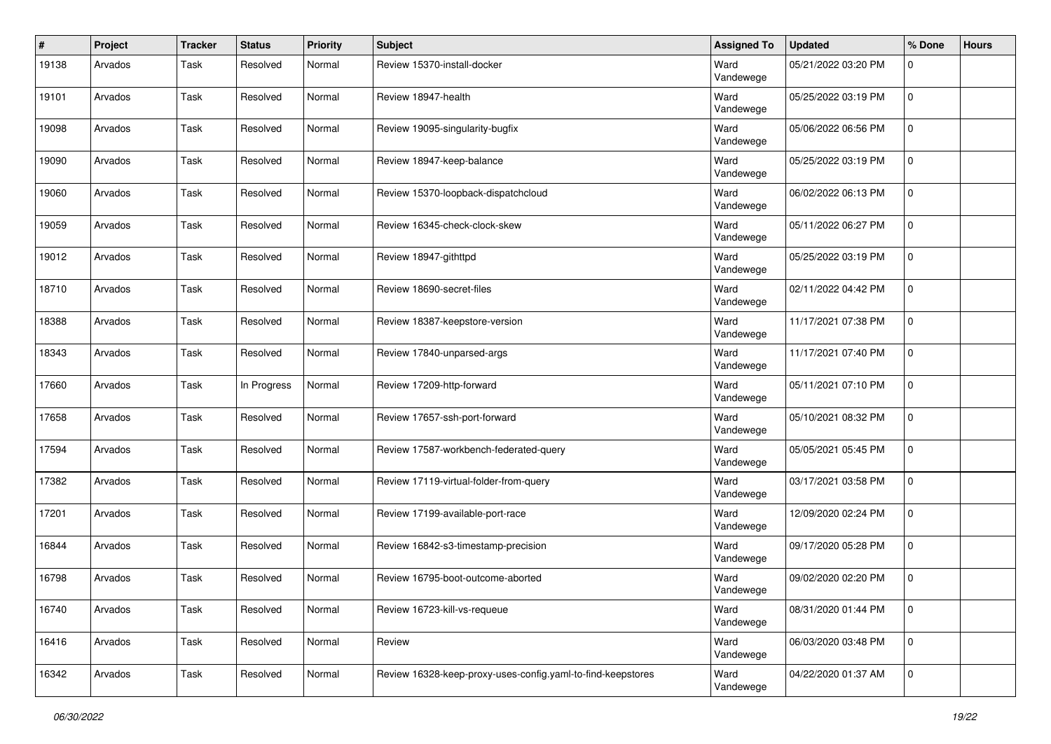| $\pmb{\#}$ | Project | <b>Tracker</b> | <b>Status</b> | <b>Priority</b> | Subject                                                     | <b>Assigned To</b> | <b>Updated</b>      | % Done         | <b>Hours</b> |
|------------|---------|----------------|---------------|-----------------|-------------------------------------------------------------|--------------------|---------------------|----------------|--------------|
| 19138      | Arvados | Task           | Resolved      | Normal          | Review 15370-install-docker                                 | Ward<br>Vandewege  | 05/21/2022 03:20 PM | $\mathbf{0}$   |              |
| 19101      | Arvados | Task           | Resolved      | Normal          | Review 18947-health                                         | Ward<br>Vandewege  | 05/25/2022 03:19 PM | $\mathbf 0$    |              |
| 19098      | Arvados | Task           | Resolved      | Normal          | Review 19095-singularity-bugfix                             | Ward<br>Vandewege  | 05/06/2022 06:56 PM | $\mathbf 0$    |              |
| 19090      | Arvados | Task           | Resolved      | Normal          | Review 18947-keep-balance                                   | Ward<br>Vandewege  | 05/25/2022 03:19 PM | $\mathbf 0$    |              |
| 19060      | Arvados | Task           | Resolved      | Normal          | Review 15370-loopback-dispatchcloud                         | Ward<br>Vandewege  | 06/02/2022 06:13 PM | $\overline{0}$ |              |
| 19059      | Arvados | Task           | Resolved      | Normal          | Review 16345-check-clock-skew                               | Ward<br>Vandewege  | 05/11/2022 06:27 PM | $\mathbf 0$    |              |
| 19012      | Arvados | Task           | Resolved      | Normal          | Review 18947-githttpd                                       | Ward<br>Vandewege  | 05/25/2022 03:19 PM | $\mathbf 0$    |              |
| 18710      | Arvados | Task           | Resolved      | Normal          | Review 18690-secret-files                                   | Ward<br>Vandewege  | 02/11/2022 04:42 PM | $\pmb{0}$      |              |
| 18388      | Arvados | Task           | Resolved      | Normal          | Review 18387-keepstore-version                              | Ward<br>Vandewege  | 11/17/2021 07:38 PM | $\mathbf 0$    |              |
| 18343      | Arvados | Task           | Resolved      | Normal          | Review 17840-unparsed-args                                  | Ward<br>Vandewege  | 11/17/2021 07:40 PM | $\mathbf 0$    |              |
| 17660      | Arvados | <b>Task</b>    | In Progress   | Normal          | Review 17209-http-forward                                   | Ward<br>Vandewege  | 05/11/2021 07:10 PM | $\mathbf 0$    |              |
| 17658      | Arvados | Task           | Resolved      | Normal          | Review 17657-ssh-port-forward                               | Ward<br>Vandewege  | 05/10/2021 08:32 PM | $\overline{0}$ |              |
| 17594      | Arvados | Task           | Resolved      | Normal          | Review 17587-workbench-federated-query                      | Ward<br>Vandewege  | 05/05/2021 05:45 PM | $\mathbf 0$    |              |
| 17382      | Arvados | Task           | Resolved      | Normal          | Review 17119-virtual-folder-from-query                      | Ward<br>Vandewege  | 03/17/2021 03:58 PM | $\mathbf 0$    |              |
| 17201      | Arvados | Task           | Resolved      | Normal          | Review 17199-available-port-race                            | Ward<br>Vandewege  | 12/09/2020 02:24 PM | $\overline{0}$ |              |
| 16844      | Arvados | Task           | Resolved      | Normal          | Review 16842-s3-timestamp-precision                         | Ward<br>Vandewege  | 09/17/2020 05:28 PM | $\overline{0}$ |              |
| 16798      | Arvados | Task           | Resolved      | Normal          | Review 16795-boot-outcome-aborted                           | Ward<br>Vandewege  | 09/02/2020 02:20 PM | $\overline{0}$ |              |
| 16740      | Arvados | Task           | Resolved      | Normal          | Review 16723-kill-vs-requeue                                | Ward<br>Vandewege  | 08/31/2020 01:44 PM | $\mathbf 0$    |              |
| 16416      | Arvados | Task           | Resolved      | Normal          | Review                                                      | Ward<br>Vandewege  | 06/03/2020 03:48 PM | $\overline{0}$ |              |
| 16342      | Arvados | Task           | Resolved      | Normal          | Review 16328-keep-proxy-uses-config.yaml-to-find-keepstores | Ward<br>Vandewege  | 04/22/2020 01:37 AM | $\mathbf 0$    |              |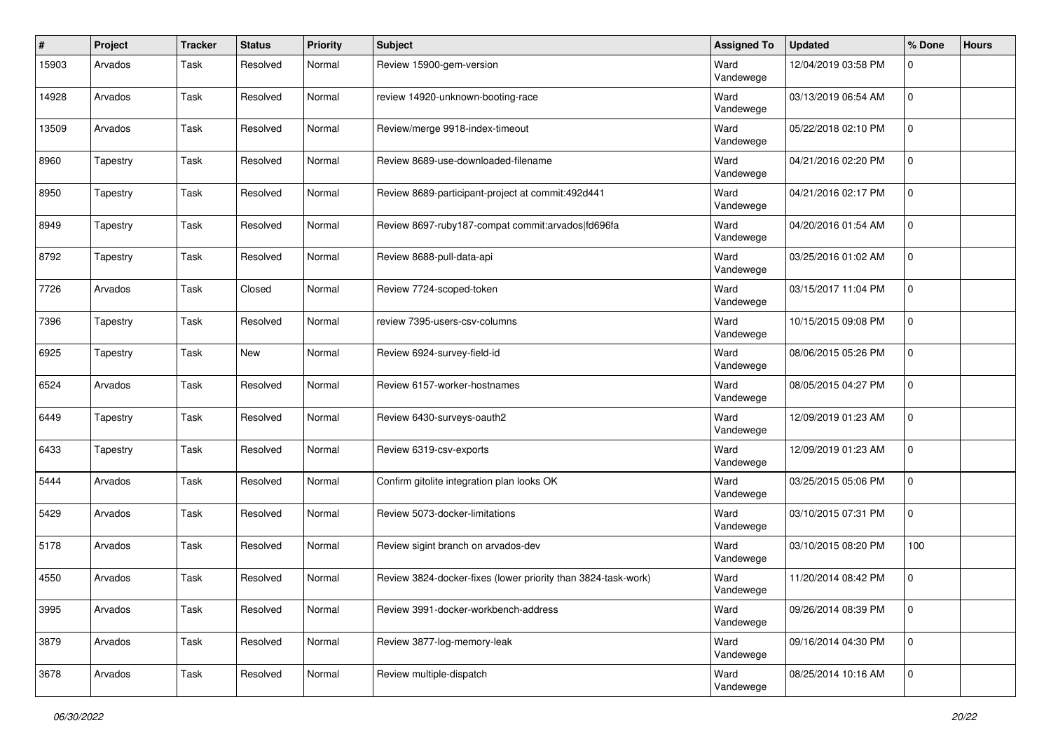| #     | Project  | <b>Tracker</b> | <b>Status</b> | <b>Priority</b> | Subject                                                       | <b>Assigned To</b> | <b>Updated</b>      | % Done         | <b>Hours</b> |
|-------|----------|----------------|---------------|-----------------|---------------------------------------------------------------|--------------------|---------------------|----------------|--------------|
| 15903 | Arvados  | Task           | Resolved      | Normal          | Review 15900-gem-version                                      | Ward<br>Vandewege  | 12/04/2019 03:58 PM | $\mathbf 0$    |              |
| 14928 | Arvados  | Task           | Resolved      | Normal          | review 14920-unknown-booting-race                             | Ward<br>Vandewege  | 03/13/2019 06:54 AM | $\mathbf 0$    |              |
| 13509 | Arvados  | Task           | Resolved      | Normal          | Review/merge 9918-index-timeout                               | Ward<br>Vandewege  | 05/22/2018 02:10 PM | $\mathbf 0$    |              |
| 8960  | Tapestry | Task           | Resolved      | Normal          | Review 8689-use-downloaded-filename                           | Ward<br>Vandewege  | 04/21/2016 02:20 PM | $\overline{0}$ |              |
| 8950  | Tapestry | Task           | Resolved      | Normal          | Review 8689-participant-project at commit:492d441             | Ward<br>Vandewege  | 04/21/2016 02:17 PM | $\overline{0}$ |              |
| 8949  | Tapestry | Task           | Resolved      | Normal          | Review 8697-ruby187-compat commit: arvados   fd696fa          | Ward<br>Vandewege  | 04/20/2016 01:54 AM | $\overline{0}$ |              |
| 8792  | Tapestry | Task           | Resolved      | Normal          | Review 8688-pull-data-api                                     | Ward<br>Vandewege  | 03/25/2016 01:02 AM | $\mathbf 0$    |              |
| 7726  | Arvados  | Task           | Closed        | Normal          | Review 7724-scoped-token                                      | Ward<br>Vandewege  | 03/15/2017 11:04 PM | $\mathbf 0$    |              |
| 7396  | Tapestry | Task           | Resolved      | Normal          | review 7395-users-csv-columns                                 | Ward<br>Vandewege  | 10/15/2015 09:08 PM | $\mathbf 0$    |              |
| 6925  | Tapestry | Task           | New           | Normal          | Review 6924-survey-field-id                                   | Ward<br>Vandewege  | 08/06/2015 05:26 PM | $\mathbf 0$    |              |
| 6524  | Arvados  | Task           | Resolved      | Normal          | Review 6157-worker-hostnames                                  | Ward<br>Vandewege  | 08/05/2015 04:27 PM | $\overline{0}$ |              |
| 6449  | Tapestry | Task           | Resolved      | Normal          | Review 6430-surveys-oauth2                                    | Ward<br>Vandewege  | 12/09/2019 01:23 AM | $\overline{0}$ |              |
| 6433  | Tapestry | Task           | Resolved      | Normal          | Review 6319-csv-exports                                       | Ward<br>Vandewege  | 12/09/2019 01:23 AM | $\pmb{0}$      |              |
| 5444  | Arvados  | Task           | Resolved      | Normal          | Confirm gitolite integration plan looks OK                    | Ward<br>Vandewege  | 03/25/2015 05:06 PM | $\mathbf 0$    |              |
| 5429  | Arvados  | Task           | Resolved      | Normal          | Review 5073-docker-limitations                                | Ward<br>Vandewege  | 03/10/2015 07:31 PM | $\mathbf 0$    |              |
| 5178  | Arvados  | Task           | Resolved      | Normal          | Review sigint branch on arvados-dev                           | Ward<br>Vandewege  | 03/10/2015 08:20 PM | 100            |              |
| 4550  | Arvados  | Task           | Resolved      | Normal          | Review 3824-docker-fixes (lower priority than 3824-task-work) | Ward<br>Vandewege  | 11/20/2014 08:42 PM | $\mathbf 0$    |              |
| 3995  | Arvados  | Task           | Resolved      | Normal          | Review 3991-docker-workbench-address                          | Ward<br>Vandewege  | 09/26/2014 08:39 PM | $\pmb{0}$      |              |
| 3879  | Arvados  | Task           | Resolved      | Normal          | Review 3877-log-memory-leak                                   | Ward<br>Vandewege  | 09/16/2014 04:30 PM | $\mathbf 0$    |              |
| 3678  | Arvados  | Task           | Resolved      | Normal          | Review multiple-dispatch                                      | Ward<br>Vandewege  | 08/25/2014 10:16 AM | $\overline{0}$ |              |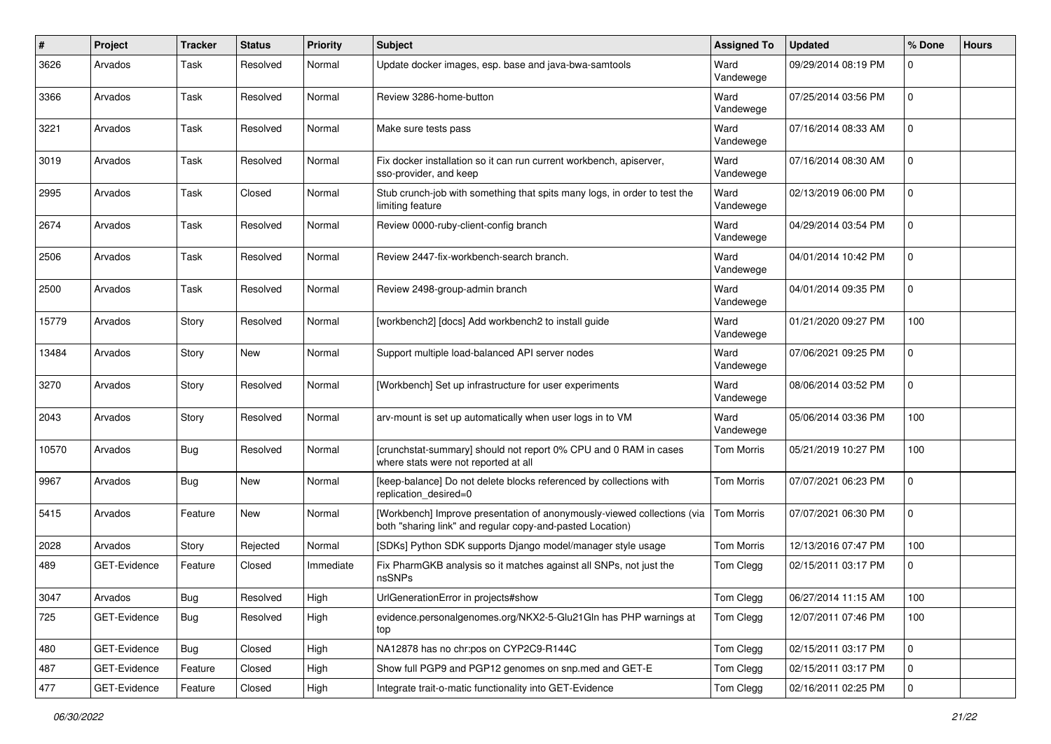| $\#$  | Project      | <b>Tracker</b> | <b>Status</b> | <b>Priority</b> | Subject                                                                                                                              | <b>Assigned To</b> | <b>Updated</b>      | % Done         | <b>Hours</b> |
|-------|--------------|----------------|---------------|-----------------|--------------------------------------------------------------------------------------------------------------------------------------|--------------------|---------------------|----------------|--------------|
| 3626  | Arvados      | Task           | Resolved      | Normal          | Update docker images, esp. base and java-bwa-samtools                                                                                | Ward<br>Vandewege  | 09/29/2014 08:19 PM | $\overline{0}$ |              |
| 3366  | Arvados      | Task           | Resolved      | Normal          | Review 3286-home-button                                                                                                              | Ward<br>Vandewege  | 07/25/2014 03:56 PM | $\mathbf{0}$   |              |
| 3221  | Arvados      | Task           | Resolved      | Normal          | Make sure tests pass                                                                                                                 | Ward<br>Vandewege  | 07/16/2014 08:33 AM | $\overline{0}$ |              |
| 3019  | Arvados      | Task           | Resolved      | Normal          | Fix docker installation so it can run current workbench, apiserver,<br>sso-provider, and keep                                        | Ward<br>Vandewege  | 07/16/2014 08:30 AM | $\overline{0}$ |              |
| 2995  | Arvados      | Task           | Closed        | Normal          | Stub crunch-job with something that spits many logs, in order to test the<br>limiting feature                                        | Ward<br>Vandewege  | 02/13/2019 06:00 PM | $\overline{0}$ |              |
| 2674  | Arvados      | Task           | Resolved      | Normal          | Review 0000-ruby-client-config branch                                                                                                | Ward<br>Vandewege  | 04/29/2014 03:54 PM | $\overline{0}$ |              |
| 2506  | Arvados      | Task           | Resolved      | Normal          | Review 2447-fix-workbench-search branch.                                                                                             | Ward<br>Vandewege  | 04/01/2014 10:42 PM | $\overline{0}$ |              |
| 2500  | Arvados      | Task           | Resolved      | Normal          | Review 2498-group-admin branch                                                                                                       | Ward<br>Vandewege  | 04/01/2014 09:35 PM | $\overline{0}$ |              |
| 15779 | Arvados      | Story          | Resolved      | Normal          | [workbench2] [docs] Add workbench2 to install guide                                                                                  | Ward<br>Vandewege  | 01/21/2020 09:27 PM | 100            |              |
| 13484 | Arvados      | Story          | New           | Normal          | Support multiple load-balanced API server nodes                                                                                      | Ward<br>Vandewege  | 07/06/2021 09:25 PM | $\overline{0}$ |              |
| 3270  | Arvados      | Story          | Resolved      | Normal          | [Workbench] Set up infrastructure for user experiments                                                                               | Ward<br>Vandewege  | 08/06/2014 03:52 PM | $\overline{0}$ |              |
| 2043  | Arvados      | Story          | Resolved      | Normal          | arv-mount is set up automatically when user logs in to VM                                                                            | Ward<br>Vandewege  | 05/06/2014 03:36 PM | 100            |              |
| 10570 | Arvados      | <b>Bug</b>     | Resolved      | Normal          | [crunchstat-summary] should not report 0% CPU and 0 RAM in cases<br>where stats were not reported at all                             | Tom Morris         | 05/21/2019 10:27 PM | 100            |              |
| 9967  | Arvados      | <b>Bug</b>     | New           | Normal          | [keep-balance] Do not delete blocks referenced by collections with<br>replication_desired=0                                          | <b>Tom Morris</b>  | 07/07/2021 06:23 PM | $\overline{0}$ |              |
| 5415  | Arvados      | Feature        | <b>New</b>    | Normal          | [Workbench] Improve presentation of anonymously-viewed collections (via<br>both "sharing link" and regular copy-and-pasted Location) | <b>Tom Morris</b>  | 07/07/2021 06:30 PM | $\mathbf 0$    |              |
| 2028  | Arvados      | Story          | Rejected      | Normal          | [SDKs] Python SDK supports Django model/manager style usage                                                                          | <b>Tom Morris</b>  | 12/13/2016 07:47 PM | 100            |              |
| 489   | GET-Evidence | Feature        | Closed        | Immediate       | Fix PharmGKB analysis so it matches against all SNPs, not just the<br>nsSNPs                                                         | Tom Clegg          | 02/15/2011 03:17 PM | $\mathbf 0$    |              |
| 3047  | Arvados      | <b>Bug</b>     | Resolved      | High            | UrlGenerationError in projects#show                                                                                                  | Tom Clegg          | 06/27/2014 11:15 AM | 100            |              |
| 725   | GET-Evidence | Bug            | Resolved      | High            | evidence.personalgenomes.org/NKX2-5-Glu21Gln has PHP warnings at<br>top                                                              | Tom Clegg          | 12/07/2011 07:46 PM | 100            |              |
| 480   | GET-Evidence | <b>Bug</b>     | Closed        | High            | NA12878 has no chr:pos on CYP2C9-R144C                                                                                               | Tom Clegg          | 02/15/2011 03:17 PM | $\overline{0}$ |              |
| 487   | GET-Evidence | Feature        | Closed        | High            | Show full PGP9 and PGP12 genomes on snp.med and GET-E                                                                                | Tom Clegg          | 02/15/2011 03:17 PM | $\overline{0}$ |              |
| 477   | GET-Evidence | Feature        | Closed        | High            | Integrate trait-o-matic functionality into GET-Evidence                                                                              | Tom Clegg          | 02/16/2011 02:25 PM | $\mathbf 0$    |              |